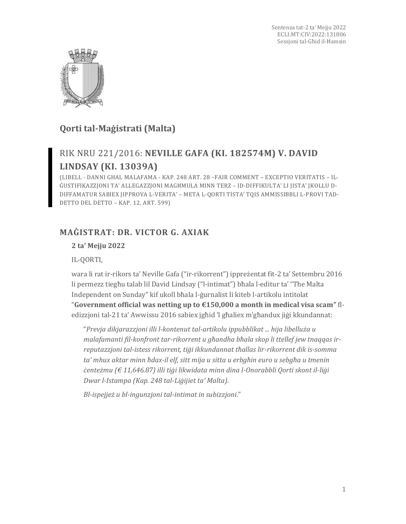

# **Qorti tal-Maġistrati (Malta)**

# RIK NRU 221/2016: **NEVILLE GAFA (KI. 182574M) V. DAVID LINDSAY (KI. 13039A)**

(LIBELL - DANNI GHAL MALAFAMA - KAP. 248 ART. 28 –FAIR COMMENT – EXCEPTIO VERITATIS – IL-ĠUSTIFIKAZZJONI TA' ALLEGAZZJONI MAGĦMULA MINN TERZ – ID-DIFFIKULTA' LI JISTA' JKOLLU D-DIFFAMATUR SABIEX JIPPROVA L-VERITA' – META L-QORTI TISTA' TQIS AMMISSIBBLI L-PROVI TAD-DETTO DEL DETTO – KAP. 12, ART. 599)

## **MAĠISTRAT: DR. VICTOR G. AXIAK**

### **2 ta' Mejju 2022**

IL-QORTI,

wara li rat ir-rikors ta' Neville Gafa ("ir-rikorrent") ippreżentat fit-2 ta' Settembru 2016 li permezz tiegħu talab lil David Lindsay ("l-intimat") bħala l-editur ta' "The Malta Independent on Sunday" kif ukoll bħala l-ġurnalist li kiteb l-artikolu intitolat "**Government official was netting up to €150,000 a month in medical visa scam"** fledizzjoni tal-21 ta' Awwissu 2016 sabiex jgħid 'l għaliex m'għandux jiġi kkundannat:

"*Prevja dikjarazzjoni illi l-kontenut tal-artikolu ippubblikat ... hija libelluża u malafamanti fil-konfront tar-rikorrent u għandha bħala skop li ttellef jew tnaqqas irreputazzjoni tal-istess rikorrent, tiġi ikkundannat tħallas lir-rikorrent dik is-somma ta' mhux aktar minn ħdax-il elf, sitt mija u sitta u erbgħin euro u sebgħa u tmenin ċenteżmu (€ 11,646.87) illi tiġi likwidata minn dina l-Onorabbli Qorti skont il-liġi Dwar l-Istampa (Kap. 248 tal-Liġijiet ta' Malta).*

*Bl-ispejjeż u bl-ingunzjoni tal-intimat in subizzjoni*."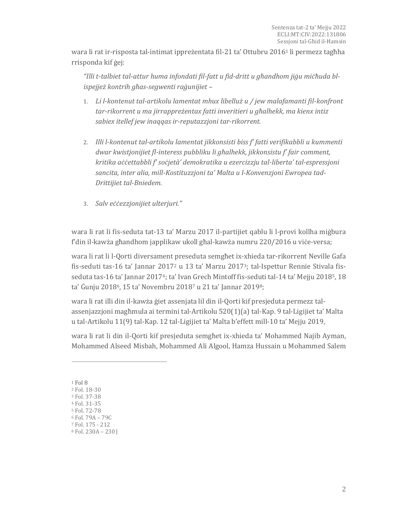wara li rat ir-risposta tal-intimat ippreżentata fil-21 ta' Ottubru 2016<sup>1</sup> li permezz tagħha rrisponda kif ġej:

*"Illi t-talbiet tal-attur huma infondati fil-fatt u fid-dritt u għandhom jiġu miċħuda blispejjeż kontrih għas-segwenti raġunijiet –*

- 1. *Li l-kontenut tal-artikolu lamentat mhux libelluż u / jew malafamanti fil-konfront tar-rikorrent u ma jirrappreżentax fatti inveritieri u għalhekk, ma kienx intiz sabiex itellef jew inaqqas ir-reputazzjoni tar-rikorrent.*
- 2. *Illi l-kontenut tal-artikolu lamentat jikkonsisti biss f' fatti verifikabbli u kummenti dwar kwistjonijiet fl-interess pubbliku li għalhekk, jikkonsistu f' fair comment, kritika aċċettabbli f' soċjetà' demokratika u ezercizzju tal-liberta' tal-espressjoni sancita, inter alia, mill-Kostituzzjoni ta' Malta u l-Konvenzjoni Ewropea tad-Drittijiet tal-Bniedem.*
- 3. *Salv eċċezzjonijiet ulterjuri."*

wara li rat li fis-seduta tat-13 ta' Marzu 2017 il-partijiet qablu li l-provi kollha miġbura f'din il-kawża għandhom japplikaw ukoll għal-kawża numru 220/2016 u viċe-versa;

wara li rat li l-Qorti diversament preseduta semgħet ix-xhieda tar-rikorrent Neville Gafa fis-seduti tas-16 ta' Jannar 2017<sup>2</sup> u 13 ta' Marzu 20173; tal-Ispettur Rennie Stivala fisseduta tas-16 ta' Jannar 2017<sup>4</sup>; ta' Ivan Grech Mintoff fis-seduti tal-14 ta' Mejju 2018<sup>5</sup>, 18 ta' Ġunju 20186, 15 ta' Novembru 2018<sup>7</sup> u 21 ta' Jannar 20198;

wara li rat illi din il-kawża ġiet assenjata lil din il-Qorti kif presjeduta permezz talassenjazzjoni magħmula ai termini tal-Artikolu 520(1)(a) tal-Kap. 9 tal-Ligijiet ta' Malta u tal-Artikolu 11(9) tal-Kap. 12 tal-Ligijiet ta' Malta b'effett mill-10 ta' Mejju 2019,

wara li rat li din il-Qorti kif presjeduta semgħet ix-xhieda ta' Mohammed Najib Ayman, Mohammed Alseed Misbah, Mohammed Ali Algool, Hamza Hussain u Mohammed Salem

<sup>1</sup> Fol 8

<sup>2</sup> Fol. 18-30

<sup>3</sup> Fol. 37-38

<sup>4</sup> Fol. 31-35

<sup>5</sup> Fol. 72-78

<sup>6</sup> Fol. 79A – 79C

<sup>7</sup> Fol. 175 - 212

<sup>8</sup> Fol. 230A – 230 J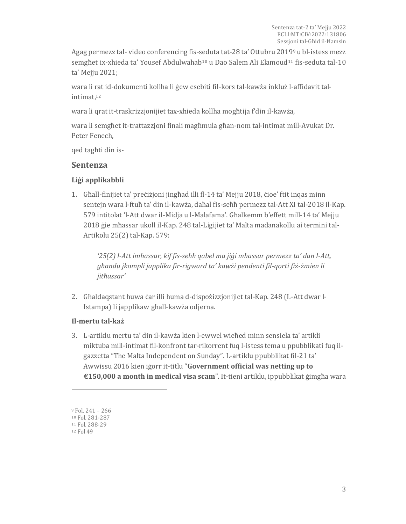Agag permezz tal- video conferencing fis-seduta tat-28 ta' Ottubru 2019<sup>9</sup> u bl-istess mezz semghet ix-xhieda ta' Yousef Abdulwahab<sup>10</sup> u Dao Salem Ali Elamoud<sup>11</sup> fis-seduta tal-10 ta' Mejju 2021;

wara li rat id-dokumenti kollha li ġew esebiti fil-kors tal-kawża inkluż l-affidavit talintimat, 12

wara li qrat it-traskrizzjonijiet tax-xhieda kollha mogħtija f'din il-kawża,

wara li semgħet it-trattazzjoni finali magħmula għan-nom tal-intimat mill-Avukat Dr. Peter Fenech,

qed tagħti din is-

### **Sentenza**

#### **Liġi applikabbli**

1. Għall-finijiet ta' preċiżjoni jingħad illi fl-14 ta' Mejju 2018, ċioe' ftit inqas minn sentejn wara l-ftuħ ta' din il-kawża, daħal fis-seħħ permezz tal-Att XI tal-2018 il-Kap. 579 intitolat 'l-Att dwar il-Midja u l-Malafama'. Għalkemm b'effett mill-14 ta' Mejju 2018 ġie mħassar ukoll il-Kap. 248 tal-Ligijiet ta' Malta madanakollu ai termini tal-Artikolu 25(2) tal-Kap. 579:

*'25(2) l-Att imħassar, kif fis-seħħ qabel ma jiġi mħassar permezz ta' dan l-Att, għandu jkompli japplika fir-rigward ta' kawżi pendenti fil-qorti fiż-żmien li jitħassar'*

2. Għaldaqstant huwa ċar illi huma d-dispożizzjonijiet tal-Kap. 248 (L-Att dwar l-Istampa) li japplikaw għall-kawża odjerna.

#### **Il-mertu tal-każ**

3. L-artiklu mertu ta' din il-kawża kien l-ewwel wieħed minn sensiela ta' artikli miktuba mill-intimat fil-konfront tar-rikorrent fuq l-istess tema u ppubblikati fuq ilgazzetta "The Malta Independent on Sunday". L-artiklu ppubblikat fil-21 ta' Awwissu 2016 kien iġorr it-titlu "**Government official was netting up to €150,000 a month in medical visa scam**". It-tieni artiklu, ippubblikat ġimgħa wara

<sup>9</sup> Fol. 241 – 266

<sup>10</sup> Fol. 281-287

<sup>11</sup> Fol. 288-29

<sup>12</sup> Fol 49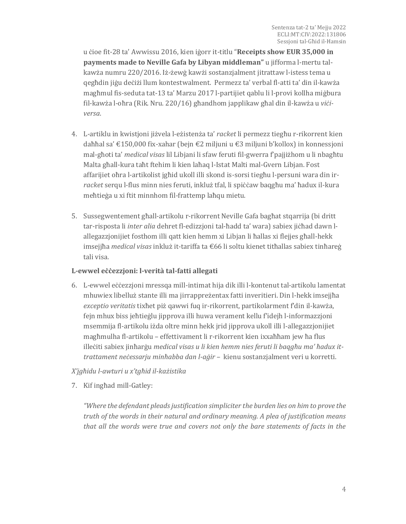u ċioe fit-28 ta' Awwissu 2016, kien iġorr it-titlu "**Receipts show EUR 35,000 in payments made to Neville Gafa by Libyan middleman"** u jifforma l-mertu talkawża numru 220/2016. Iż-żewġ kawżi sostanzjalment jitrattaw l-istess tema u qegħdin jiġu deċiżi llum kontestwalment. Permezz ta' verbal fl-atti ta' din il-kawża magħmul fis-seduta tat-13 ta' Marzu 2017 l-partijiet qablu li l-provi kollha miġbura fil-kawża l-oħra (Rik. Nru. 220/16) għandhom japplikaw għal din il-kawża u *viċiversa*.

- 4. L-artiklu in kwistjoni jiżvela l-eżistenża ta' *racket* li permezz tiegħu r-rikorrent kien daħħal sa' €150,000 fix-xahar (bejn €2 miljuni u €3 miljuni b'kollox) in konnessjoni mal-għoti ta' *medical visas* lil Libjani li sfaw feruti fil-gwerra f'pajjiżhom u li nbagħtu Malta għall-kura taħt ftehim li kien laħaq l-Istat Malti mal-Gvern Libjan. Fost affarijiet oħra l-artikolist jgħid ukoll illi skond is-sorsi tiegħu l-persuni wara din ir*racket* serqu l-flus minn nies feruti, inkluż tfal, li spiċċaw baqgħu ma' ħadux il-kura meħtieġa u xi ftit minnhom fil-frattemp laħqu mietu.
- 5. Sussegwentement għall-artikolu r-rikorrent Neville Gafa bagħat stqarrija (bi dritt tar-risposta li *inter alia* dehret fl-edizzjoni tal-ħadd ta' wara) sabiex jiċħad dawn lallegazzjonijiet fosthom illi qatt kien hemm xi Libjan li ħallas xi flejjes għall-hekk imsejjħa *medical visas* inkluż it-tariffa ta €66 li soltu kienet titħallas sabiex tinħareġ tali visa.

#### **L-ewwel eċċezzjoni: l-verità tal-fatti allegati**

6. L-ewwel eċċezzjoni mressqa mill-intimat hija dik illi l-kontenut tal-artikolu lamentat mhuwiex libelluż stante illi ma jirrappreżentax fatti inveritieri. Din l-hekk imsejjħa *exceptio veritatis* tixħet piż qawwi fuq ir-rikorrent, partikolarment f'din il-kawża, fejn mhux biss jeħtieġlu jipprova illi huwa verament kellu f'idejh l-informazzjoni msemmija fl-artikolu iżda oltre minn hekk jrid jipprova ukoll illi l-allegazzjonijiet magħmulha fl-artikolu – effettivament li r-rikorrent kien ixxaħħam jew ħa flus illeċiti sabiex jinħarġu *medical visas u li kien hemm nies feruti li baqgħu ma' ħadux ittrattament neċessarju minħabba dan l-aġir* – kienu sostanzjalment veri u korretti.

#### *X'jgħidu l-awturi u x'tgħid il-każistika*

7. Kif ingħad mill-Gatley:

*"Where the defendant pleads justification simpliciter the burden lies on him to prove the truth of the words in their natural and ordinary meaning. A plea of justification means that all the words were true and covers not only the bare statements of facts in the*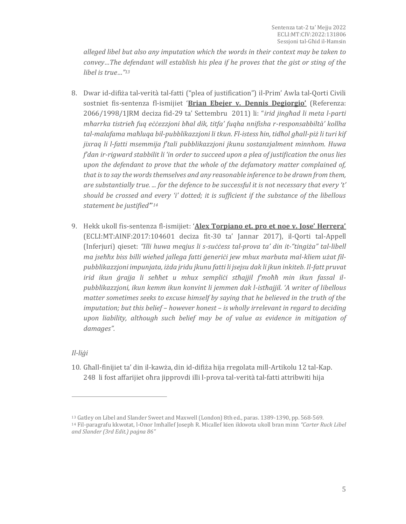*alleged libel but also any imputation which the words in their context may be taken to convey…The defendant will establish his plea if he proves that the gist or sting of the libel is true…"<sup>13</sup>*

- 8. Dwar id-difiża tal-verità tal-fatti ("plea of justification") il-Prim' Awla tal-Qorti Civili sostniet fis-sentenza fl-ismijiet '**Brian Ebejer v. Dennis Degiorgio'** (Referenza: 2066/1998/1JRM deciza fid-29 ta' Settembru 2011) li: "*irid jingħad li meta l-parti mħarrka tistrieħ fuq eċċezzjoni bħal dik, titfa' fuqha nnifisha r-responsabbiltà' kollha tal-malafama maħluqa bil-pubblikazzjoni li tkun. Fl-istess ħin, tidħol għall-piż li turi kif jixraq li l-fatti msemmija f'tali pubblikazzjoni jkunu sostanzjalment minnhom. Huwa f'dan ir-rigward stabbilit li 'in order to succeed upon a plea of justification the onus lies upon the defendant to prove that the whole of the defamatory matter complained of, that is to say the words themselves and any reasonable inference to be drawn from them, are substantially true. ... for the defence to be successful it is not necessary that every 't' should be crossed and every 'i' dotted; it is sufficient if the substance of the libellous statement be justified'*" *14*
- 9. Hekk ukoll fis-sentenza fl-ismijiet: '**Alex Torpiano et. pro et noe v. Jose' Herrera'** (ECLI:MT:AINF:2017:104601 deciza fit-30 ta' Jannar 2017), il-Qorti tal-Appell (Inferjuri) qieset: *"Illi huwa meqjus li s-suċċess tal-prova ta' din it-"tingiża" tal-libell ma jseħħx biss billi wieħed jallega fatti ġeneriċi jew mhux marbuta mal-kliem użat filpubblikazzjoni impunjata, iżda jridu jkunu fatti li jsejsu dak li jkun inkiteb. Il-fatt pruvat irid ikun ġrajja li seħħet u mhux sempliċi stħajjil f'moħħ min ikun fassal ilpubblikazzjoni, ikun kemm ikun konvint li jemmen dak l-istħajjil. 'A writer of libellous matter sometimes seeks to excuse himself by saying that he believed in the truth of the imputation; but this belief – however honest – is wholly irrelevant in regard to deciding upon liability, although such belief may be of value as evidence in mitigation of damages".*

*Il-liġi*

 $\overline{a}$ 

10. Għall-finijiet ta' din il-kawża, din id-difiża hija rregolata mill-Artikolu 12 tal-Kap. 248 li fost affarijiet oħra jipprovdi illi l-prova tal-verità tal-fatti attribwiti hija

<sup>13</sup> Gatley on Libel and Slander Sweet and Maxwell (London) 8th ed., paras. 1389-1390, pp. 568-569. <sup>14</sup> Fil-paragrafu kkwotat, l-Onor Imħallef Joseph R. Micallef kien ikkwota ukoll bran minn *"Carter Ruck Libel and Slander (3rd Edit.) paġna 86"*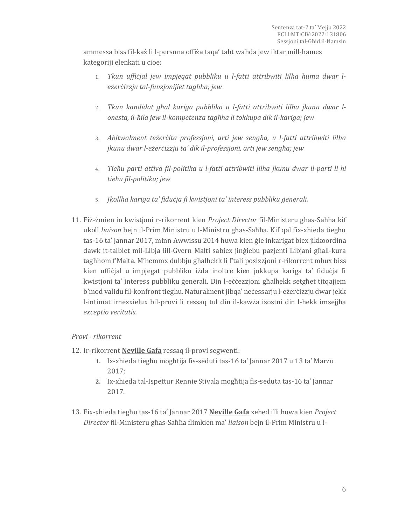ammessa biss fil-każ li l-persuna offiża taqa' taht waħda jew iktar mill-ħames kategoriji elenkati u cioe:

- 1. *Tkun uffiċjal jew impjegat pubbliku u l-fatti attribwiti lilha huma dwar leżerċizzju tal-funzjonijiet tagħha; jew*
- 2. *Tkun kandidat għal kariga pubblika u l-fatti attribwiti lilha jkunu dwar lonesta, il-ħila jew il-kompetenza tagħha li tokkupa dik il-kariga; jew*
- 3. *Abitwalment teżerċita professjoni, arti jew sengħa, u l-fatti attribwiti lilha jkunu dwar l-eżerċizzju ta' dik il-professjoni, arti jew sengħa; jew*
- 4. *Tieħu parti attiva fil-politika u l-fatti attribwiti lilha jkunu dwar il-parti li hi tieħu fil-politika; jew*
- 5. *Jkollha kariga ta' fiduċja fi kwistjoni ta' interess pubbliku ġenerali.*
- 11. Fiż-żmien in kwistjoni r-rikorrent kien *Project Director* fil-Ministeru għas-Saħħa kif ukoll *liaison* bejn il-Prim Ministru u l-Ministru għas-Saħħa. Kif qal fix-xhieda tiegħu tas-16 ta' Jannar 2017, minn Awwissu 2014 huwa kien ġie inkarigat biex jikkoordina dawk it-talbiet mil-Libja lill-Gvern Malti sabiex jinġiebu pazjenti Libjani għall-kura tagħhom f'Malta. M'hemmx dubbju għalhekk li f'tali posizzjoni r-rikorrent mhux biss kien uffiċjal u impjegat pubbliku iżda inoltre kien jokkupa kariga ta' fiduċja fi kwistjoni ta' interess pubbliku ġenerali. Din l-eċċezzjoni għalhekk setgħet titqajjem b'mod validu fil-konfront tieghu. Naturalment jibqa' neċessarju l-eżerċizzju dwar jekk l-intimat irnexxielux bil-provi li ressaq tul din il-kawża isostni din l-hekk imsejjħa *exceptio veritatis.*

#### *Provi - rikorrent*

- 12. Ir-rikorrent **Neville Gafa** ressaq il-provi segwenti:
	- **1.** Ix-xhieda tiegħu mogħtija fis-seduti tas-16 ta' Jannar 2017 u 13 ta' Marzu 2017;
	- **2.** Ix-xhieda tal-Ispettur Rennie Stivala mogħtija fis-seduta tas-16 ta' Jannar 2017.
- 13. Fix-xhieda tiegħu tas-16 ta' Jannar 2017 **Neville Gafa** xehed illi huwa kien *Project Director* fil-Ministeru għas-Saħħa flimkien ma' *liaison* bejn il-Prim Ministru u l-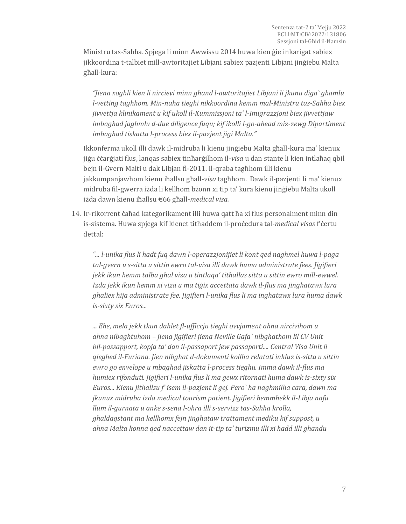Ministru tas-Saħħa. Spjega li minn Awwissu 2014 huwa kien ġie inkarigat sabiex jikkoordina t-talbiet mill-awtoritajiet Libjani sabiex pazjenti Libjani jinġiebu Malta għall-kura:

*"Jiena xoghli kien li nircievi minn ghand l-awtoritajiet Libjani li jkunu diga` ghamlu l-vetting taghhom. Min-naha tieghi nikkoordina kemm mal-Ministru tas-Sahha biex jivvettja klinikament u kif ukoll il-Kummissjoni ta' l-Imigrazzjoni biex jivvettjaw imbaghad jaghmlu d-due diligence fuqu; kif ikolli l-go-ahead miz-zewg Dipartiment imbaghad tiskatta l-process biex il-pazjent jigi Malta."*

Ikkonferma ukoll illi dawk il-midruba li kienu jinġiebu Malta għall-kura ma' kienux jiġu ċċarġjati flus, lanqas sabiex tinħarġilhom il-*visa* u dan stante li kien intlaħaq qbil bejn il-Gvern Malti u dak Libjan fl-2011. Il-qraba tagħhom illi kienu jakkumpanjawhom kienu iħallsu għall-*visa* tagħhom. Dawk il-pazjenti li ma' kienux midruba fil-gwerra iżda li kellhom bżonn xi tip ta' kura kienu jinġiebu Malta ukoll iżda dawn kienu iħallsu €66 għall-*medical visa.*

14. Ir-rikorrent ċaħad kategorikament illi huwa qatt ħa xi flus personalment minn din is-sistema. Huwa spjega kif kienet titħaddem il-proċedura tal-*medical visas* f'ċertu dettal:

*"... l-unika flus li hadt fuq dawn l-operazzjonijiet li kont qed naghmel huwa l-paga tal-gvern u s-sitta u sittin ewro tal-visa illi dawk huma administrate fees. Jigifieri jekk ikun hemm talba ghal viza u tintlaqa' tithallas sitta u sittin ewro mill-ewwel. Izda jekk ikun hemm xi viza u ma tiġix accettata dawk il-flus ma jinghatawx lura ghaliex hija administrate fee. Jigifieri l-unika flus li ma inghatawx lura huma dawk is-sixty six Euros...*

*... Ehe, mela jekk tkun dahlet fl-ufficcju tieghi ovvjament ahna nircivihom u ahna nibaghtuhom – jiena jigifieri jiena Neville Gafa` nibghathom lil CV Unit bil-passapport, kopja ta' dan il-passaport jew passaporti.... Central Visa Unit li qieghed il-Furiana. Jien nibghat d-dokumenti kollha relatati inkluz is-sitta u sittin ewro go envelope u mbaghad jiskatta l-process tieghu. Imma dawk il-flus ma humiex rifonduti. Jigifieri l-unika flus li ma gewx ritornati huma dawk is-sixty six Euros... Kienu jithallsu f' isem il-pazjent li gej. Pero` ha naghmilha cara, dawn ma jkunux midruba izda medical tourism patient. Jigifieri hemmhekk il-Libja nafu llum il-gurnata u anke s-sena l-ohra illi s-servizz tas-Sahha krolla, ghaldaqstant ma kellhomx fejn jinghataw trattament mediku kif suppost, u ahna Malta konna qed naccettaw dan it-tip ta' turizmu illi xi hadd illi ghandu*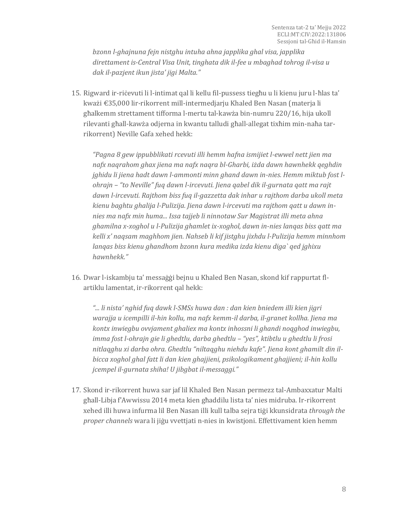*bzonn l-ghajnuna fejn nistghu intuha ahna japplika ghal visa, japplika direttament is-Central Visa Unit, tinghata dik il-fee u mbaghad tohrog il-visa u dak il-pazjent ikun jista' jigi Malta."*

15. Rigward ir-riċevuti li l-intimat qal li kellu fil-pussess tiegħu u li kienu juru l-ħlas ta' kważi €35,000 lir-rikorrent mill-intermedjarju Khaled Ben Nasan (materja li għalkemm strettament tifforma l-mertu tal-kawża bin-numru 220/16, hija ukoll rilevanti għall-kawża odjerna in kwantu talludi għall-allegat tixħim min-naħa tarrikorrent) Neville Gafa xehed hekk:

*"Pagna 8 gew ippubblikati rcevuti illi hemm hafna ismijiet l-ewwel nett jien ma nafx naqrahom ghax jiena ma nafx naqra bl-Gharbi, iżda dawn hawnhekk qeghdin jghidu li jiena hadt dawn l-ammonti minn ghand dawn in-nies. Hemm miktub fost lohrajn – "to Neville" fuq dawn l-ircevuti. Jiena qabel dik il-gurnata qatt ma rajt dawn l-ircevuti. Rajthom biss fuq il-gazzetta dak inhar u rajthom darba ukoll meta kienu baghtu ghalija l-Pulizija. Jiena dawn l-ircevuti ma rajthom qatt u dawn innies ma nafx min huma... Issa tajjeb li ninnotaw Sur Magistrat illi meta ahna ghamilna x-xoghol u l-Pulizija ghamlet ix-xoghol, dawn in-nies lanqas biss qatt ma kelli x' naqsam maghhom jien. Nahseb li kif jistghu jixhdu l-Pulizija hemm minnhom lanqas biss kienu ghandhom bzonn kura medika izda kienu diga` qed jghixu hawnhekk."*

16. Dwar l-iskambju ta' messaġġi bejnu u Khaled Ben Nasan, skond kif rappurtat flartiklu lamentat, ir-rikorrent qal hekk:

*"... li nista' nghid fuq dawk l-SMSs huwa dan : dan kien bniedem illi kien jigri warajja u icempilli il-hin kollu, ma nafx kemm-il darba, il-granet kollha. Jiena ma kontx inwiegbu ovvjament ghaliex ma kontx inhossni li ghandi noqghod inwiegbu, imma fost l-ohrajn gie li ghedtlu, darba ghedtlu – "yes", ktibtlu u ghedtlu li frosi nitlaqghu xi darba ohra. Ghedtlu "niltaqghu niehdu kafe". Jiena kont ghamilt din ilbicca xoghol ghal fatt li dan kien ghajjieni, psikologikament ghajjieni; il-hin kollu jcempel il-gurnata shiha! U jibgbat il-messaggi."*

17. Skond ir-rikorrent huwa sar jaf lil Khaled Ben Nasan permezz tal-Ambaxxatur Malti għall-Libja f'Awwissu 2014 meta kien għaddilu lista ta' nies midruba. Ir-rikorrent xehed illi huwa infurma lil Ben Nasan illi kull talba sejra tiġi kkunsidrata *through the proper channels* wara li jiġu vvettjati n-nies in kwistjoni. Effettivament kien hemm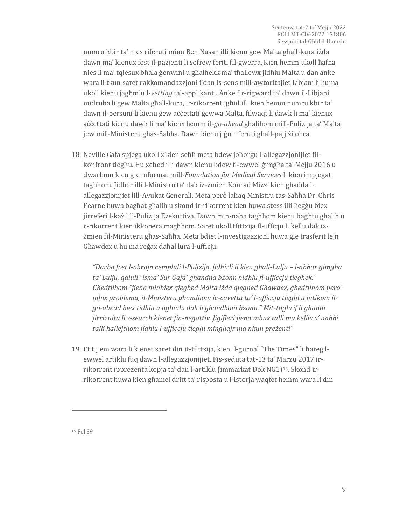numru kbir ta' nies riferuti minn Ben Nasan illi kienu ġew Malta għall-kura iżda dawn ma' kienux fost il-pazjenti li sofrew feriti fil-gwerra. Kien hemm ukoll ħafna nies li ma' tqiesux bħala ġenwini u għalhekk ma' tħallewx jidħlu Malta u dan anke wara li tkun saret rakkomandazzjoni f'dan is-sens mill-awtoritajiet Libjani li huma ukoll kienu jagħmlu l-*vetting* tal-applikanti. Anke fir-rigward ta' dawn il-Libjani midruba li ġew Malta għall-kura, ir-rikorrent jgħid illi kien hemm numru kbir ta' dawn il-persuni li kienu ġew aċċettati ġewwa Malta, filwaqt li dawk li ma' kienux aċċettati kienu dawk li ma' kienx hemm il-*go-ahead* għalihom mill-Pulizija ta' Malta jew mill-Ministeru għas-Saħħa. Dawn kienu jiġu riferuti għall-pajjiżi oħra.

18. Neville Gafa spjega ukoll x'kien seħħ meta bdew joħorġu l-allegazzjonijiet filkonfront tiegħu. Hu xehed illi dawn kienu bdew fl-ewwel ġimgħa ta' Mejju 2016 u dwarhom kien ġie infurmat mill-*Foundation for Medical Services* li kien impjegat tagħhom. Jidher illi l-Ministru ta' dak iż-żmien Konrad Mizzi kien għadda lallegazzjonijiet lill-Avukat Ġenerali. Meta però laħaq Ministru tas-Saħħa Dr. Chris Fearne huwa bagħat għalih u skond ir-rikorrent kien huwa stess illi ħeġġu biex jirreferi l-każ lill-Pulizija Eżekuttiva. Dawn min-naħa tagħhom kienu bagħtu għalih u r-rikorrent kien ikkopera magħhom. Saret ukoll tfittxija fl-uffiċju li kellu dak iżżmien fil-Ministeru għas-Saħħa. Meta bdiet l-investigazzjoni huwa ġie trasferit lejn Għawdex u hu ma reġax daħal lura l-uffiċju:

*"Darba fost l-ohrajn cempluli l-Pulizija, jidhirli li kien ghall-Lulju – l-ahhar gimgha ta' Lulju, qaluli "isma' Sur Gafa` ghandna bżonn nidhlu fl-ufficcju tieghek." Ghedtilhom "jiena minhiex qieghed Malta iżda qieghed Ghawdex, ghedtilhom pero` mhix problema, il-Ministeru ghandhom ic-cavetta ta' l-ufficcju tieghi u intikom ilgo-ahead biex tidhlu u aghmlu dak li ghandkom bzonn." Mit-taghrif li ghandi jirrizulta li s-search kienet fin-negattiv. Jigifieri jiena mhux talli ma kellix x' nahbi talli hallejthom jidhlu l-ufficcju tieghi minghajr ma nkun preżenti"*

19. Ftit jiem wara li kienet saret din it-tfittxija, kien il-ġurnal "The Times" li ħareġ lewwel artiklu fuq dawn l-allegazzjonijiet. Fis-seduta tat-13 ta' Marzu 2017 irrikorrent ippreżenta kopja ta' dan l-artiklu (immarkat Dok NG1)15. Skond irrikorrent huwa kien għamel dritt ta' risposta u l-istorja waqfet hemm wara li din

<sup>15</sup> Fol 39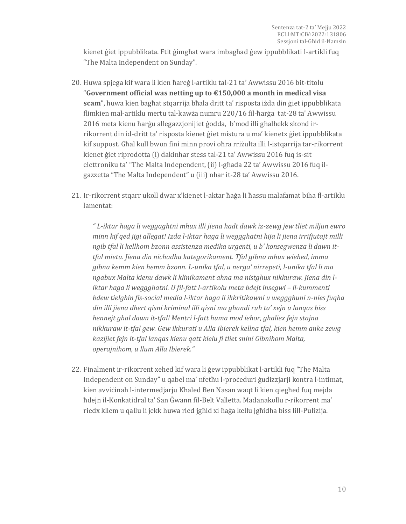kienet ġiet ippubblikata. Ftit ġimgħat wara imbagħad ġew ippubblikati l-artikli fuq "The Malta Independent on Sunday".

- 20. Huwa spjega kif wara li kien ħareġ l-artiklu tal-21 ta' Awwissu 2016 bit-titolu "**Government official was netting up to €150,000 a month in medical visa scam**", huwa kien bagħat stqarrija bħala dritt ta' risposta iżda din ġiet ippubblikata flimkien mal-artiklu mertu tal-kawża numru 220/16 fil-ħarġa tat-28 ta' Awwissu 2016 meta kienu ħarġu allegazzjonijiet ġodda, b'mod illi għalhekk skond irrikorrent din id-dritt ta' risposta kienet ġiet mistura u ma' kienetx ġiet ippubblikata kif suppost. Għal kull bwon fini minn provi oħra rriżulta illi l-istqarrija tar-rikorrent kienet ġiet riprodotta (i) dakinhar stess tal-21 ta' Awwissu 2016 fuq is-sit elettroniku ta' "The Malta Independent, (ii) l-għada 22 ta' Awwissu 2016 fuq ilgazzetta "The Malta Independent" u (iii) nhar it-28 ta' Awwissu 2016.
- 21. Ir-rikorrent stqarr ukoll dwar x'kienet l-aktar ħaġa li ħassu malafamat biha fl-artiklu lamentat:

*" L-iktar haga li weggaghtni mhux illi jiena hadt dawk iz-zewg jew tliet miljun ewro minn kif qed jigi allegat! Izda l-iktar haga li weggghatni hija li jiena irrifjutajt milli ngib tfal li kellhom bzonn assistenza medika urgenti, u b' konsegwenza li dawn ittfal mietu. Jiena din nichadha kategorikament. Tfal gibna mhux wiehed, imma gibna kemm kien hemm bzonn. L-unika tfal, u nerga' nirrepeti, l-unika tfal li ma ngabux Malta kienu dawk li klinikament ahna ma nistghux nikkuraw. Jiena din liktar haga li weggghatni. U fil-fatt l-artikolu meta bdejt insegwi – il-kummenti bdew tielghin fis-social media l-iktar haga li ikkritikawni u weggghuni n-nies fuqha din illi jiena dhert qisni kriminal illi qisni ma ghandi ruh ta' xejn u lanqas biss hennejt ghal dawn it-tfal! Mentri l-fatt huma mod iehor, ghaliex fejn stajna nikkuraw it-tfal gew. Gew ikkurati u Alla Ibierek kellna tfal, kien hemm anke zewg kazijiet fejn it-tfal lanqas kienu qatt kielu fi tliet snin! Gibnihom Malta, operajnihom, u llum Alla Ibierek."*

22. Finalment ir-rikorrent xehed kif wara li ġew ippubblikat l-artikli fuq "The Malta Independent on Sunday" u qabel ma' nfetħu l-proċeduri ġudizzjarji kontra l-intimat, kien avviċinah l-intermedjarju Khaled Ben Nasan waqt li kien qiegħed fuq mejda ħdejn il-Konkatidral ta' San Ġwann fil-Belt Valletta. Madanakollu r-rikorrent ma' riedx kliem u qallu li jekk huwa ried jgħid xi ħaġa kellu jgħidha biss lill-Pulizija.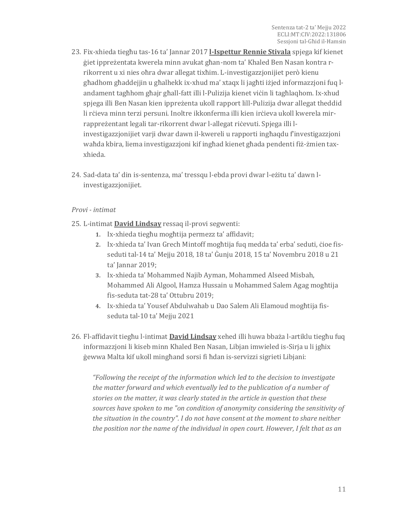- 23. Fix-xhieda tiegħu tas-16 ta' Jannar 2017 **l-Ispettur Rennie Stivala** spjega kif kienet ġiet ippreżentata kwerela minn avukat għan-nom ta' Khaled Ben Nasan kontra rrikorrent u xi nies oħra dwar allegat tixħim. L-investigazzjonijiet però kienu għadhom għaddejjin u għalhekk ix-xhud ma' xtaqx li jagħti iżjed informazzjoni fuq landament tagħhom għajr għall-fatt illi l-Pulizija kienet viċin li tagħlaqhom. Ix-xhud spjega illi Ben Nasan kien ippreżenta ukoll rapport lill-Pulizija dwar allegat theddid li rċieva minn terzi persuni. Inoltre ikkonferma illi kien irċieva ukoll kwerela mirrappreżentant legali tar-rikorrent dwar l-allegat riċevuti. Spjega illi linvestigazzjonijiet varji dwar dawn il-kwereli u rapporti ingħaqdu f'investigazzjoni waħda kbira, liema investigazzjoni kif ingħad kienet għada pendenti fiż-żmien taxxhieda.
- 24. Sad-data ta' din is-sentenza, ma' tressqu l-ebda provi dwar l-eżitu ta' dawn linvestigazzjonijiet.

#### *Provi - intimat*

- 25. L-intimat **David Lindsay** ressaq il-provi segwenti:
	- **1.** Ix-xhieda tiegħu mogħtija permezz ta' affidavit;
	- **2.** Ix-xhieda ta' Ivan Grech Mintoff mogħtija fuq medda ta' erba' seduti, ċioe fisseduti tal-14 ta' Mejju 2018, 18 ta' Ġunju 2018, 15 ta' Novembru 2018 u 21 ta' Jannar 2019;
	- **3.** Ix-xhieda ta' Mohammed Najib Ayman, Mohammed Alseed Misbah, Mohammed Ali Algool, Hamza Hussain u Mohammed Salem Agag mogħtija fis-seduta tat-28 ta' Ottubru 2019;
	- **4.** Ix-xhieda ta' Yousef Abdulwahab u Dao Salem Ali Elamoud mogħtija fisseduta tal-10 ta' Mejju 2021
- 26. Fl-affidavit tiegħu l-intimat **David Lindsay** xehed illi huwa bbaża l-artiklu tiegħu fuq informazzjoni li kiseb minn Khaled Ben Nasan, Libjan imwieled is-Sirja u li jgħix ġewwa Malta kif ukoll mingħand sorsi fi ħdan is-servizzi sigrieti Libjani:

*"Following the receipt of the information which led to the decision to investigate the matter forward and which eventually led to the publication of a number of stories on the matter, it was clearly stated in the article in question that these sources have spoken to me "on condition of anonymity considering the sensitivity of the situation in the country". I do not have consent at the moment to share neither the position nor the name of the individual in open court. However, I felt that as an*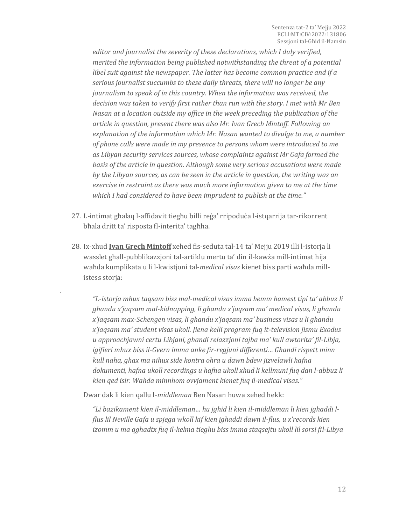*editor and journalist the severity of these declarations, which I duly verified, merited the information being published notwithstanding the threat of a potential libel suit against the newspaper. The latter has become common practice and if a serious journalist succumbs to these daily threats, there will no longer be any journalism to speak of in this country. When the information was received, the decision was taken to verify first rather than run with the story. I met with Mr Ben Nasan at a location outside my office in the week preceding the publication of the article in question, present there was also Mr. Ivan Grech Mintoff. Following an explanation of the information which Mr. Nasan wanted to divulge to me, a number of phone calls were made in my presence to persons whom were introduced to me as Libyan security services sources, whose complaints against Mr Gafa formed the basis of the article in question. Although some very serious accusations were made by the Libyan sources, as can be seen in the article in question, the writing was an exercise in restraint as there was much more information given to me at the time which I had considered to have been imprudent to publish at the time."*

- 27. L-intimat għalaq l-affidavit tiegħu billi reġa' rripoduċa l-istqarrija tar-rikorrent bħala dritt ta' risposta fl-interita' tagħha.
- 28. Ix-xhud **Ivan Grech Mintoff** xehed fis-seduta tal-14 ta' Mejju 2019 illi l-istorja li wasslet għall-pubblikazzjoni tal-artiklu mertu ta' din il-kawża mill-intimat hija waħda kumplikata u li l-kwistjoni tal-*medical visas* kienet biss parti waħda millistess storja:

*"L-istorja mhux taqsam biss mal-medical visas imma hemm hamest tipi ta' abbuz li ghandu x'jaqsam mal-kidnapping, li ghandu x'jaqsam ma' medical visas, li ghandu x'jaqsam max-Schengen visas, li ghandu x'jaqsam ma' business visas u li ghandu x'jaqsam ma' student visas ukoll. Jiena kelli program fuq it-television jismu Exodus u approachjawni certu Libjani, ghandi relazzjoni tajba ma' kull awtorita' fil-Libja, igifieri mhux biss il-Gvern imma anke fir-regjuni differenti… Ghandi rispett minn kull naha, ghax ma nihux side kontra ohra u dawn bdew jizvelawli hafna dokumenti, hafna ukoll recordings u hafna ukoll xhud li kellmuni fuq dan l-abbuz li kien qed isir. Wahda minnhom ovvjament kienet fuq il-medical visas."*

Dwar dak li kien qallu l-*middleman* Ben Nasan huwa xehed hekk:

*.*

*"Li bazikament kien il-middleman… hu jghid li kien il-middleman li kien jghaddi lflus lil Neville Gafa u spjega wkoll kif kien jghaddi dawn il-flus, u x'records kien izomm u ma qghadtx fuq il-kelma tieghu biss imma staqsejtu ukoll lil sorsi fil-Libya*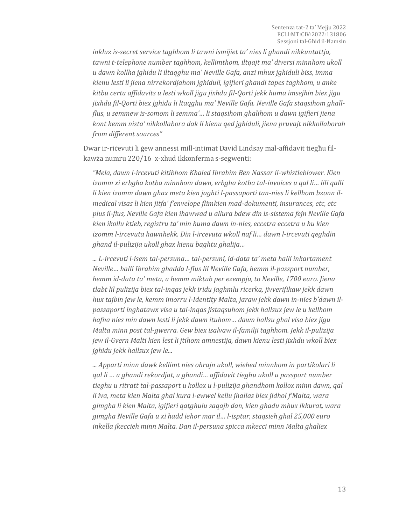*inkluz is-secret service taghhom li tawni ismijiet ta' nies li ghandi nikkuntattja, tawni t-telephone number taghhom, kellimthom, iltqajt ma' diversi minnhom ukoll u dawn kollha jghidu li iltaqghu ma' Neville Gafa, anzi mhux jghiduli biss, imma kienu lesti li jiena nirrekordjahom jghiduli, igifieri ghandi tapes taghhom, u anke kitbu certu affidavits u lesti wkoll jigu jixhdu fil-Qorti jekk huma imsejhin biex jigu jixhdu fil-Qorti biex jghidu li ltaqghu ma' Neville Gafa. Neville Gafa staqsihom ghallflus, u semmew is-somom li semma'… li staqsihom ghalihom u dawn igifieri jiena kont kemm nista' nikkollabora dak li kienu qed jghiduli, jiena pruvajt nikkollaborah from different sources"*

Dwar ir-riċevuti li ġew annessi mill-intimat David Lindsay mal-affidavit tiegħu filkawża numru 220/16 x-xhud ikkonferma s-segwenti:

*"Mela, dawn l-ircevuti kitibhom Khaled Ibrahim Ben Nassar il-whistleblower. Kien izomm xi erbgha kotba minnhom dawn, erbgha kotba tal-invoices u qal li… lili qalli li kien izomm dawn ghax meta kien jaghti l-passaporti tan-nies li kellhom bzonn ilmedical visas li kien jitfa' f'envelope flimkien mad-dokumenti, insurances, etc, etc plus il-flus, Neville Gafa kien ihawwad u allura bdew din is-sistema fejn Neville Gafa kien ikollu ktieb, registru ta' min huma dawn in-nies, eccetra eccetra u hu kien izomm l-ircevuta hawnhekk. Din l-ircevuta wkoll naf li… dawn l-ircevuti qeghdin ghand il-pulizija ukoll ghax kienu baghtu ghalija…*

*... L-ircevuti l-isem tal-persuna… tal-persuni, id-data ta' meta halli inkartament Neville… halli Ibrahim ghadda l-flus lil Neville Gafa, hemm il-passport number, hemm id-data ta' meta, u hemm miktub per ezempju, to Neville, 1700 euro. Jiena tlabt lil pulizija biex tal-inqas jekk iridu jaghmlu ricerka, jivverifikaw jekk dawn hux tajbin jew le, kemm imorru l-Identity Malta, jaraw jekk dawn in-nies b'dawn ilpassaporti inghatawx visa u tal-inqas jistaqsuhom jekk hallsux jew le u kellhom hafna nies min dawn lesti li jekk dawn ituhom… dawn hallsu ghal visa biex jigu Malta minn post tal-gwerra. Gew biex isalvaw il-familji taghhom. Jekk il-pulizija jew il-Gvern Malti kien lest li jtihom amnestija, dawn kienu lesti jixhdu wkoll biex jghidu jekk hallsux jew le...*

*... Apparti minn dawk kellimt nies ohrajn ukoll, wiehed minnhom in partikolari li qal li … u ghandi rekordjat, u ghandi… affidavit tieghu ukoll u passport number tieghu u ritratt tal-passaport u kollox u l-pulizija ghandhom kollox minn dawn, qal li iva, meta kien Malta ghal kura l-ewwel kellu jhallas biex jidhol f'Malta, wara gimgha li kien Malta, igifieri qatghulu saqajh dan, kien ghadu mhux ikkurat, wara gimgha Neville Gafa u xi hadd iehor mar il… l-isptar, staqsieh ghal 25,000 euro inkella jkeccieh minn Malta. Dan il-persuna spicca mkecci minn Malta ghaliex*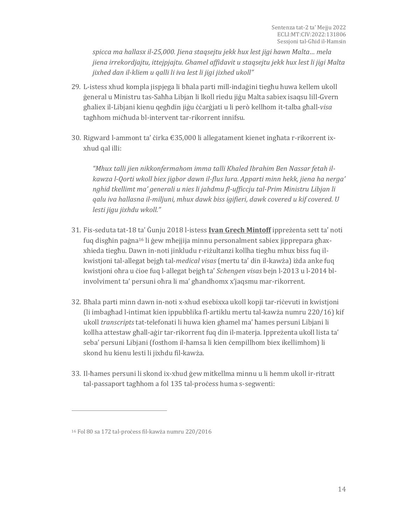*spicca ma hallasx il-25,000. Jiena staqsejtu jekk hux lest jigi hawn Malta… mela jiena irrekordjajtu, ittejpjajtu. Ghamel affidavit u staqsejtu jekk hux lest li jigi Malta jixhed dan il-kliem u qalli li iva lest li jigi jixhed ukoll"*

- 29. L-istess xhud kompla jispjega li bħala parti mill-indaġini tiegħu huwa kellem ukoll ġeneral u Ministru tas-Saħħa Libjan li lkoll riedu jiġu Malta sabiex isaqsu lill-Gvern għaliex il-Libjani kienu qegħdin jiġu ċċarġjati u li però kellhom it-talba għall-*visa* tagħhom miċħuda bl-intervent tar-rikorrent innifsu.
- 30. Rigward l-ammont ta' ċirka €35,000 li allegatament kienet ingħata r-rikorrent ixxhud qal illi:

*"Mhux talli jien nikkonfermahom imma talli Khaled Ibrahim Ben Nassar fetah ilkawza l-Qorti wkoll biex jigbor dawn il-flus lura. Apparti minn hekk, jiena ha nerga' nghid tkellimt ma' generali u nies li jahdmu fl-ufficcju tal-Prim Ministru Libjan li qalu iva hallasna il-miljuni, mhux dawk biss igifieri, dawk covered u kif covered. U lesti jigu jixhdu wkoll."*

- 31. Fis-seduta tat-18 ta' Ġunju 2018 l-istess **Ivan Grech Mintoff** ippreżenta sett ta' noti fuq disgħin paġna<sup>16</sup> li ġew mħejjija minnu personalment sabiex jipprepara għaxxhieda tiegħu. Dawn in-noti jinkludu r-riżultanzi kollha tiegħu mhux biss fuq ilkwistjoni tal-allegat bejgħ tal-*medical visas* (mertu ta' din il-kawża) iżda anke fuq kwistjoni oħra u ċioe fuq l-allegat bejgħ ta' *Schengen visas* bejn l-2013 u l-2014 blinvolviment ta' persuni oħra li ma' għandhomx x'jaqsmu mar-rikorrent.
- 32. Bħala parti minn dawn in-noti x-xhud esebixxa ukoll kopji tar-riċevuti in kwistjoni (li imbagħad l-intimat kien ippubblika fl-artiklu mertu tal-kawża numru 220/16) kif ukoll *transcripts* tat-telefonati li huwa kien għamel ma' ħames persuni Libjani li kollha attestaw għall-aġir tar-rikorrent fuq din il-materja. Ippreżenta ukoll lista ta' seba' persuni Libjani (fosthom il-ħamsa li kien ċempillhom biex ikellimhom) li skond hu kienu lesti li jixhdu fil-kawża.
- 33. Il-ħames persuni li skond ix-xhud ġew mitkellma minnu u li hemm ukoll ir-ritratt tal-passaport taghhom a fol 135 tal-process huma s-segwenti:

<sup>16</sup> Fol 80 sa 172 tal-proċess fil-kawża numru 220/2016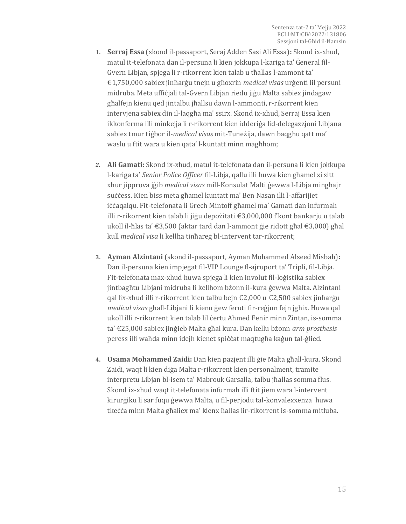- **1. Serraj Essa** (skond il-passaport, Seraj Adden Sasi Ali Essa)**:** Skond ix-xhud, matul it-telefonata dan il-persuna li kien jokkupa l-kariga ta' Ġeneral fil-Gvern Libjan, spjega li r-rikorrent kien talab u tħallas l-ammont ta' €1,750,000 sabiex jinħarġu tnejn u għoxrin *medical visas* urġenti lil persuni midruba. Meta uffiċjali tal-Gvern Libjan riedu jiġu Malta sabiex jindagaw għalfejn kienu qed jintalbu jħallsu dawn l-ammonti, r-rikorrent kien intervjena sabiex din il-laqgħa ma' ssirx. Skond ix-xhud, Serraj Essa kien ikkonferma illi minkejja li r-rikorrent kien idderiġa lid-delegazzjoni Libjana sabiex tmur tiġbor il-*medical visas* mit-Tuneżija, dawn baqgħu qatt ma' waslu u ftit wara u kien qata' l-kuntatt minn magħhom;
- *2.* **Ali Gamati:** Skond ix-xhud, matul it-telefonata dan il-persuna li kien jokkupa l-kariga ta' *Senior Police Officer* fil-Libja, qallu illi huwa kien għamel xi sitt xhur jipprova jġib *medical visas* mill-Konsulat Malti ġewwa l-Libja mingħajr suċċess. Kien biss meta għamel kuntatt ma' Ben Nasan illi l-affarijiet iċċaqalqu. Fit-telefonata li Grech Mintoff għamel ma' Gamati dan infurmah illi r-rikorrent kien talab li jiġu depożitati €3,000,000 f'kont bankarju u talab ukoll il-ħlas ta' €3,500 (aktar tard dan l-ammont ġie ridott għal €3,000) għal kull *medical visa* li kellha tinħareġ bl-intervent tar-rikorrent;
- **3. Ayman Alzintani** (skond il-passaport, Ayman Mohammed Alseed Misbah)**:**  Dan il-persuna kien impjegat fil-VIP Lounge fl-ajruport ta' Tripli, fil-Libja. Fit-telefonata max-xhud huwa spjega li kien involut fil-loġistika sabiex jintbagħtu Libjani midruba li kellhom bżonn il-kura ġewwa Malta. Alzintani qal lix-xhud illi r-rikorrent kien talbu bejn €2,000 u €2,500 sabiex jinħarġu *medical visas* għall-Libjani li kienu ġew feruti fir-reġjun fejn jgħix. Huwa qal ukoll illi r-rikorrent kien talab lil ċertu Ahmed Fenir minn Zintan, is-somma ta' €25,000 sabiex jinġieb Malta għal kura. Dan kellu bżonn *arm prosthesis*  peress illi waħda minn idejh kienet spiċċat maqtugħa kaġun tal-ġlied.
- **4. Osama Mohammed Zaidi:** Dan kien pazjent illi ġie Malta għall-kura. Skond Zaidi, waqt li kien diġa Malta r-rikorrent kien personalment, tramite interpretu Libjan bl-isem ta' Mabrouk Garsalla, talbu jħallas somma flus. Skond ix-xhud waqt it-telefonata infurmah illi ftit jiem wara l-intervent kirurġiku li sar fuqu ġewwa Malta, u fil-perjodu tal-konvalexxenza huwa tkeċċa minn Malta għaliex ma' kienx ħallas lir-rikorrent is-somma mitluba.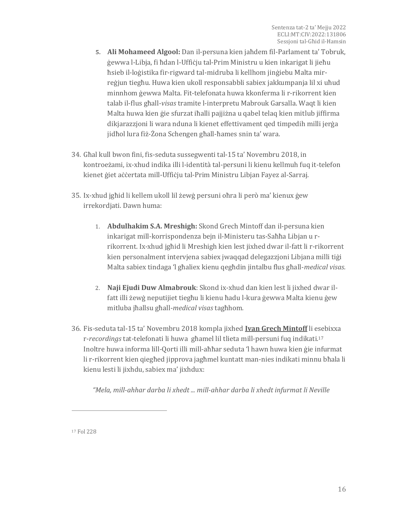- **5. Ali Mohameed Algool:** Dan il-persuna kien jaħdem fil-Parlament ta' Tobruk, ġewwa l-Libja, fi ħdan l-Uffiċju tal-Prim Ministru u kien inkarigat li jieħu ħsieb il-loġistika fir-rigward tal-midruba li kellhom jinġiebu Malta mirreġjun tiegħu. Huwa kien ukoll responsabbli sabiex jakkumpanja lil xi uħud minnhom ġewwa Malta. Fit-telefonata huwa kkonferma li r-rikorrent kien talab il-flus għall-*visas* tramite l-interpretu Mabrouk Garsalla. Waqt li kien Malta huwa kien ġie sfurzat iħalli pajjiżna u qabel telaq kien mitlub jiffirma dikjarazzjoni li wara nduna li kienet effettivament qed timpedih milli jerġa jidħol lura fiż-Żona Schengen għall-ħames snin ta' wara.
- 34. Għal kull bwon fini, fis-seduta sussegwenti tal-15 ta' Novembru 2018, in kontroeżami, ix-xhud indika illi l-identità tal-persuni li kienu kellmuh fuq it-telefon kienet ġiet aċċertata mill-Uffiċju tal-Prim Ministru Libjan Fayez al-Sarraj.
- 35. Ix-xhud jgħid li kellem ukoll lil żewġ persuni oħra li però ma' kienux ġew irrekordjati. Dawn huma:
	- 1. **Abdulhakim S.A. Mreshigh:** Skond Grech Mintoff dan il-persuna kien inkarigat mill-korrispondenza bejn il-Ministeru tas-Saħħa Libjan u rrikorrent. Ix-xhud jgħid li Mreshigh kien lest jixhed dwar il-fatt li r-rikorrent kien personalment intervjena sabiex jwaqqad delegazzjoni Libjana milli tiġi Malta sabiex tindaga 'l għaliex kienu qegħdin jintalbu flus għall-*medical visas.*
	- 2. **Naji Ejudi Duw Almabrouk**: Skond ix-xhud dan kien lest li jixhed dwar ilfatt illi żewġ neputijiet tiegħu li kienu ħadu l-kura ġewwa Malta kienu ġew mitluba jħallsu għall-*medical visas* tagħhom*.*
- 36. Fis-seduta tal-15 ta' Novembru 2018 kompla jixhed **Ivan Grech Mintoff** li esebixxa r-*recordings* tat-telefonati li huwa għamel lil tlieta mill-persuni fuq indikati.<sup>17</sup> Inoltre huwa informa lill-Qorti illi mill-aħħar seduta 'l hawn huwa kien ġie infurmat li r-rikorrent kien qiegħed jipprova jagħmel kuntatt man-nies indikati minnu bħala li kienu lesti li jixhdu, sabiex ma' jixhdux:

*"Mela, mill-ahhar darba li xhedt ... mill-ahhar darba li xhedt infurmat li Neville*

<sup>17</sup> Fol 228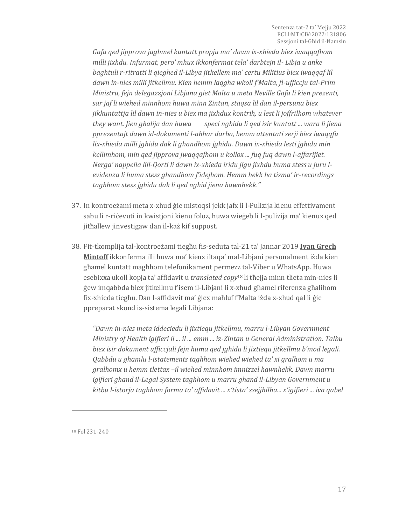*Gafa qed jipprova jaghmel kuntatt propju ma' dawn ix-xhieda biex iwaqqafhom milli jixhdu. Infurmat, pero' mhux ikkonfermat tela' darbtejn il- Libja u anke baghtuli r-ritratti li qieghed il-Libya jitkellem ma' certu Militius biex iwaqqaf lil dawn in-nies milli jitkellmu. Kien hemm laqgha wkoll f'Malta, fl-ufficcju tal-Prim Ministru, fejn delegazzjoni Libjana giet Malta u meta Neville Gafa li kien prezenti, sar jaf li wiehed minnhom huwa minn Zintan, staqsa lil dan il-persuna biex jikkuntattja lil dawn in-nies u biex ma jixhdux kontrih, u lest li joffrilhom whatever they want. Jien ghalija dan huwa speci nghidu li qed isir kuntatt ... wara li jiena pprezentajt dawn id-dokumenti l-ahhar darba, hemm attentati serji biex iwaqqfu lix-xhieda milli jghidu dak li ghandhom jghidu. Dawn ix-xhieda lesti jghidu min kellimhom, min qed jipprova jwaqqafhom u kollox ... fuq fuq dawn l-affarijiet. Nerga' nappella lill-Qorti li dawn ix-xhieda iridu jigu jixhdu huma stess u juru levidenza li huma stess ghandhom f'idejhom. Hemm hekk ha tisma' ir-recordings taghhom stess jghidu dak li qed nghid jiena hawnhekk."*

- 37. In kontroeżami meta x-xhud ġie mistoqsi jekk jafx li l-Pulizija kienu effettivament sabu li r-riċevuti in kwistjoni kienu foloz, huwa wieġeb li l-pulizija ma' kienux qed jitħallew jinvestigaw dan il-każ kif suppost.
- 38. Fit-tkomplija tal-kontroeżami tiegħu fis-seduta tal-21 ta' Jannar 2019 **Ivan Grech Mintoff** ikkonferma illi huwa ma' kienx iltaqa' mal-Libjani personalment iżda kien għamel kuntatt magħhom telefonikament permezz tal-Viber u WhatsApp. Huwa esebixxa ukoll kopja ta' affidavit u *translated copy*<sup>18</sup> li tħejja minn tlieta min-nies li ġew imqabbda biex jitkellmu f'isem il-Libjani li x-xhud għamel riferenza għalihom fix-xhieda tiegħu. Dan l-affidavit ma' ġiex maħluf f'Malta iżda x-xhud qal li ġie ppreparat skond is-sistema legali Libjana:

*"Dawn in-nies meta iddeciedu li jixtiequ jitkellmu, marru l-Libyan Government Ministry of Health igifieri il ... il ... emm ... iz-Zintan u General Administration. Talbu biex isir dokument ufficcjali fejn huma qed jghidu li jixtiequ jitkellmu b'mod legali. Qabbdu u ghamlu l-istatements taghhom wiehed wiehed ta' xi gralhom u ma gralhomx u hemm tlettax –il wiehed minnhom imnizzel hawnhekk. Dawn marru igifieri ghand il-Legal System taghhom u marru ghand il-Libyan Government u kitbu l-istorja taghhom forma ta' affidavit ... x'tista' ssejjhilha... x'igifieri ... iva qabel* 

<sup>18</sup> Fol 231-240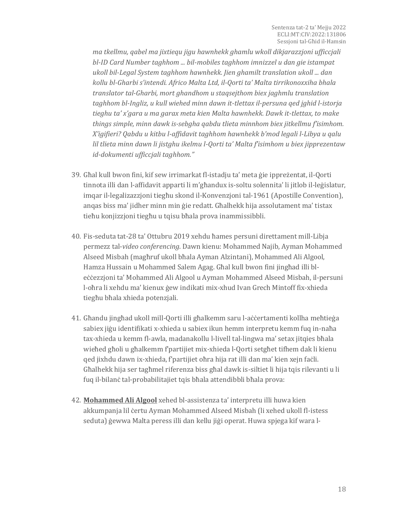*ma tkellmu, qabel ma jixtiequ jigu hawnhekk ghamlu wkoll dikjarazzjoni ufficcjali bl-ID Card Number taghhom ... bil-mobiles taghhom imnizzel u dan gie istampat ukoll bil-Legal System taghhom hawnhekk. Jien ghamilt translation ukoll ... dan kollu bl-Gharbi s'intendi. Africo Malta Ltd, il-Qorti ta' Malta tirrikonoxxiha bhala translator tal-Gharbi, mort ghandhom u staqsejthom biex jaghmlu translation taghhom bl-Ingliz, u kull wiehed minn dawn it-tlettax il-persuna qed jghid l-istorja tieghu ta' x'gara u ma garax meta kien Malta hawnhekk. Dawk it-tlettax, to make things simple, minn dawk is-sebgha qabdu tlieta minnhom biex jitkellmu f'isimhom. X'igifieri? Qabdu u kitbu l-affidavit taghhom hawnhekk b'mod legali l-Libya u qalu lil tlieta minn dawn li jistghu ikelmu l-Qorti ta' Malta f'isimhom u biex jipprezentaw id-dokumenti ufficcjali taghhom."*

- 39. Għal kull bwon fini, kif sew irrimarkat fl-istadju ta' meta ġie ippreżentat, il-Qorti tinnota illi dan l-affidavit apparti li m'għandux is-soltu solennita' li jitlob il-leġislatur, imqar il-legalizazzjoni tiegħu skond il-Konvenzjoni tal-1961 (Apostille Convention), anqas biss ma' jidher minn min ġie redatt. Għalhekk hija assolutament ma' tistax tieħu konjizzjoni tiegħu u tqisu bħala prova inammissibbli.
- 40. Fis-seduta tat-28 ta' Ottubru 2019 xehdu ħames persuni direttament mill-Libja permezz tal-*video conferencing*. Dawn kienu: Mohammed Najib, Ayman Mohammed Alseed Misbah (magħruf ukoll bħala Ayman Alzintani), Mohammed Ali Algool, Hamza Hussain u Mohammed Salem Agag. Għal kull bwon fini jingħad illi bleċċezzjoni ta' Mohammed Ali Algool u Ayman Mohammed Alseed Misbah, il-persuni l-oħra li xehdu ma' kienux ġew indikati mix-xhud Ivan Grech Mintoff fix-xhieda tiegħu bħala xhieda potenzjali.
- 41. Għandu jingħad ukoll mill-Qorti illi għalkemm saru l-aċċertamenti kollha meħtieġa sabiex jiġu identifikati x-xhieda u sabiex ikun hemm interpretu kemm fuq in-naħa tax-xhieda u kemm fl-awla, madanakollu l-livell tal-lingwa ma' setax jitqies bħala wieħed għoli u għalkemm f'partijiet mix-xhieda l-Qorti setgħet tifhem dak li kienu qed jixhdu dawn ix-xhieda, f'partijiet oħra hija rat illi dan ma' kien xejn faċli. Għalhekk hija ser tagħmel riferenza biss għal dawk is-siltiet li hija tqis rilevanti u li fuq il-bilanċ tal-probabilitajiet tqis bħala attendibbli bħala prova:
- 42. **Mohammed Ali Algool** xehed bl-assistenza ta' interpretu illi huwa kien akkumpanja lil ċertu Ayman Mohammed Alseed Misbah (li xehed ukoll fl-istess seduta) ġewwa Malta peress illi dan kellu jiġi operat. Huwa spjega kif wara l-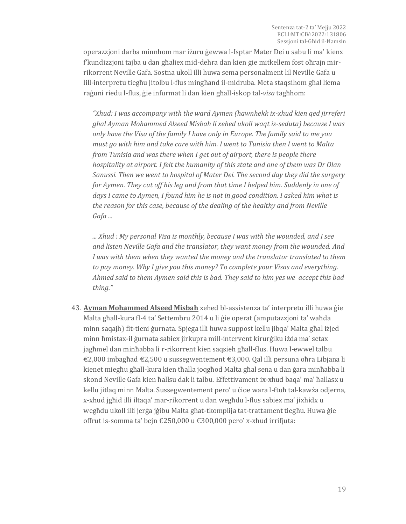operazzjoni darba minnhom mar iżuru ġewwa l-Isptar Mater Dei u sabu li ma' kienx f'kundizzjoni tajba u dan għaliex mid-dehra dan kien ġie mitkellem fost oħrajn mirrikorrent Neville Gafa. Sostna ukoll illi huwa sema personalment lil Neville Gafa u lill-interpretu tiegħu jitolbu l-flus mingħand il-midruba. Meta staqsihom għal liema raġuni riedu l-flus, ġie infurmat li dan kien għall-iskop tal-*visa* tagħhom:

*"Xhud: I was accompany with the ward Aymen (hawnhekk ix-xhud kien qed jirreferi għal Ayman Mohammed Alseed Misbah li xehed ukoll waqt is-seduta) because I was only have the Visa of the family I have only in Europe. The family said to me you must go with him and take care with him. I went to Tunisia then I went to Malta from Tunisia and was there when I get out of airport, there is people there hospitality at airport. I felt the humanity of this state and one of them was Dr Olan Sanussi. Then we went to hospital of Mater Dei. The second day they did the surgery for Aymen. They cut off his leg and from that time I helped him. Suddenly in one of days I came to Aymen, I found him he is not in good condition. I asked him what is the reason for this case, because of the dealing of the healthy and from Neville Gafa ...*

*... Xhud : My personal Visa is monthly, because I was with the wounded, and I see and listen Neville Gafa and the translator, they want money from the wounded. And I was with them when they wanted the money and the translator translated to them to pay money. Why I give you this money? To complete your Visas and everything. Ahmed said to them Aymen said this is bad. They said to him yes we accept this bad thing."*

43. **Ayman Mohammed Alseed Misbah** xehed bl-assistenza ta' interpretu illi huwa ġie Malta għall-kura fl-4 ta' Settembru 2014 u li ġie operat (amputazzjoni ta' waħda minn saqajh) fit-tieni ġurnata. Spjega illi huwa suppost kellu jibqa' Malta għal iżjed minn ħmistax-il ġurnata sabiex jirkupra mill-intervent kirurġiku iżda ma' setax jagħmel dan minħabba li r-rikorrent kien saqsieh għall-flus. Huwa l-ewwel talbu €2,000 imbagħad €2,500 u sussegwentement €3,000. Qal illi persuna oħra Libjana li kienet miegħu għall-kura kien tħalla joqgħod Malta għal sena u dan ġara minħabba li skond Neville Gafa kien ħallsu dak li talbu. Effettivament ix-xhud baqa' ma' ħallasx u kellu jitlaq minn Malta. Sussegwentement pero' u ċioe wara l-ftuħ tal-kawża odjerna, x-xhud jgħid illi iltaqa' mar-rikorrent u dan wegħdu l-flus sabiex ma' jixhidx u wegħdu ukoll illi jerġa jġibu Malta għat-tkomplija tat-trattament tiegħu. Huwa ġie offrut is-somma ta' bejn €250,000 u €300,000 pero' x-xhud irrifjuta: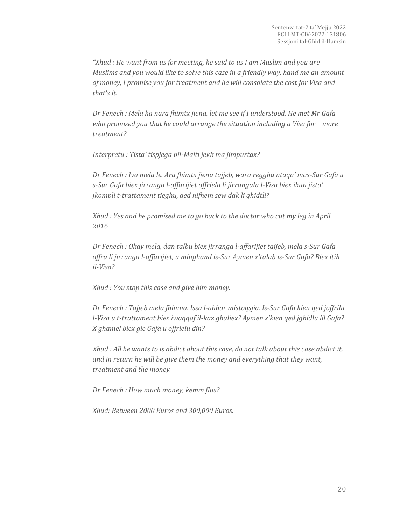*"Xhud : He want from us for meeting, he said to us I am Muslim and you are Muslims and you would like to solve this case in a friendly way, hand me an amount of money, I promise you for treatment and he will consolate the cost for Visa and that's it.*

*Dr Fenech : Mela ha nara fhimtx jiena, let me see if I understood. He met Mr Gafa who promised you that he could arrange the situation including a Visa for more treatment?*

*Interpretu : Tista' tispjega bil-Malti jekk ma jimpurtax?*

*Dr Fenech : Iva mela le. Ara fhimtx jiena tajjeb, wara reggha ntaqa' mas-Sur Gafa u s-Sur Gafa biex jirranga l-affarijiet offrielu li jirrangalu l-Visa biex ikun jista' jkompli t-trattament tieghu, qed nifhem sew dak li ghidtli?*

*Xhud : Yes and he promised me to go back to the doctor who cut my leg in April 2016*

*Dr Fenech : Okay mela, dan talbu biex jirranga l-affarijiet tajjeb, mela s-Sur Gafa offra li jirranga l-affarijiet, u minghand is-Sur Aymen x'talab is-Sur Gafa? Biex itih il-Visa?*

*Xhud : You stop this case and give him money.*

*Dr Fenech : Tajjeb mela fhimna. Issa l-ahhar mistoqsjia. Is-Sur Gafa kien qed joffrilu l-Visa u t-trattament biex iwaqqaf il-kaz ghaliex? Aymen x'kien qed jghidlu lil Gafa? X'ghamel biex gie Gafa u offrielu din?*

*Xhud : All he wants to is abdict about this case, do not talk about this case abdict it, and in return he will be give them the money and everything that they want, treatment and the money.*

*Dr Fenech : How much money, kemm flus?*

*Xhud: Between 2000 Euros and 300,000 Euros.*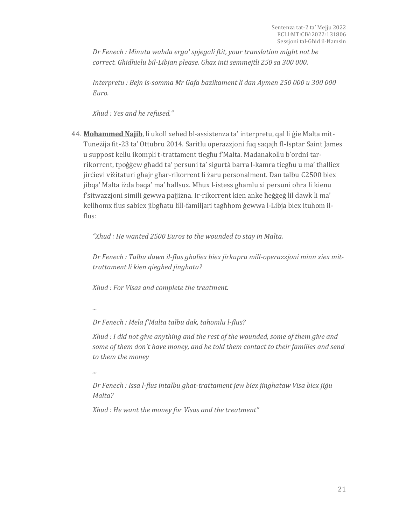*Dr Fenech : Minuta wahda erga' spjegali ftit, your translation might not be correct. Ghidhielu bil-Libjan please. Ghax inti semmejtli 250 sa 300 000.*

*Interpretu : Bejn is-somma Mr Gafa bazikament li dan Aymen 250 000 u 300 000 Euro.*

*Xhud : Yes and he refused."*

44. **Mohammed Najib**, li ukoll xehed bl-assistenza ta' interpretu, qal li ġie Malta mit-Tuneżija fit-23 ta' Ottubru 2014. Saritlu operazzjoni fuq saqajh fl-Isptar Saint James u suppost kellu ikompli t-trattament tiegħu f'Malta. Madanakollu b'ordni tarrikorrent, tpoġġew għadd ta' persuni ta' sigurtà barra l-kamra tiegħu u ma' tħalliex jirċievi viżitaturi għajr għar-rikorrent li żaru personalment. Dan talbu  $\epsilon$ 2500 biex jibqa' Malta iżda baqa' ma' ħallsux. Mhux l-istess għamlu xi persuni oħra li kienu f'sitwazzjoni simili ġewwa pajjiżna. Ir-rikorrent kien anke ħeġġeġ lil dawk li ma' kellhomx flus sabiex jibgħatu lill-familjari tagħhom ġewwa l-Libja biex ituhom ilflus:

*"Xhud : He wanted 2500 Euros to the wounded to stay in Malta.*

*Dr Fenech : Talbu dawn il-flus ghaliex biex jirkupra mill-operazzjoni minn xiex mittrattament li kien qieghed jinghata?*

*Xhud : For Visas and complete the treatment.*

*...*

*Dr Fenech : Mela f'Malta talbu dak, tahomlu l-flus?*

*Xhud : I did not give anything and the rest of the wounded, some of them give and some of them don't have money, and he told them contact to their families and send to them the money*

*...*

*Dr Fenech : Issa l-flus intalbu ghat-trattament jew biex jinghataw Visa biex jiġu Malta?*

*Xhud : He want the money for Visas and the treatment"*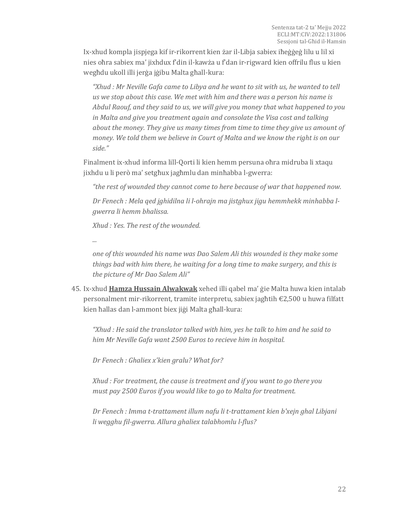Ix-xhud kompla jispjega kif ir-rikorrent kien żar il-Libja sabiex iħeġġeġ lilu u lil xi nies oħra sabiex ma' jixhdux f'din il-kawża u f'dan ir-rigward kien offrilu flus u kien wegħdu ukoll illi jerġa jġibu Malta għall-kura:

*"Xhud : Mr Neville Gafa came to Libya and he want to sit with us, he wanted to tell us we stop about this case. We met with him and there was a person his name is Abdul Raouf, and they said to us, we will give you money that what happened to you in Malta and give you treatment again and consolate the Visa cost and talking about the money. They give us many times from time to time they give us amount of money. We told them we believe in Court of Malta and we know the right is on our side."*

Finalment ix-xhud informa lill-Qorti li kien hemm persuna oħra midruba li xtaqu jixhdu u li però ma' setgħux jagħmlu dan minħabba l-gwerra:

*"the rest of wounded they cannot come to here because of war that happened now.*

*Dr Fenech : Mela qed jghidilna li l-ohrajn ma jistghux jigu hemmhekk minhabba lgwerra li hemm bhalissa.*

*Xhud : Yes. The rest of the wounded.*

*...*

*one of this wounded his name was Dao Salem Ali this wounded is they make some things bad with him there, he waiting for a long time to make surgery, and this is the picture of Mr Dao Salem Ali"*

45. Ix-xhud **Hamza Hussain Alwakwak** xehed illi qabel ma' ġie Malta huwa kien intalab personalment mir-rikorrent, tramite interpretu, sabiex jagħtih €2,500 u huwa filfatt kien ħallas dan l-ammont biex jiġi Malta għall-kura:

*"Xhud : He said the translator talked with him, yes he talk to him and he said to him Mr Neville Gafa want 2500 Euros to recieve him in hospital.*

*Dr Fenech : Ghaliex x'kien gralu? What for?*

*Xhud : For treatment, the cause is treatment and if you want to go there you must pay 2500 Euros if you would like to go to Malta for treatment.*

*Dr Fenech : Imma t-trattament illum nafu li t-trattament kien b'xejn ghal Libjani li wegghu fil-gwerra. Allura ghaliex talabhomlu l-flus?*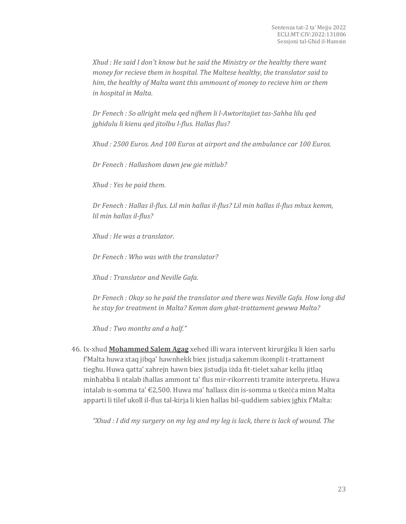*Xhud : He said I don't know but he said the Ministry or the healthy there want money for recieve them in hospital. The Maltese healthy, the translator said to him, the healthy of Malta want this ammount of money to recieve him or them in hospital in Malta.*

*Dr Fenech : So allright mela qed nifhem li l-Awtoritajiet tas-Sahha lilu qed jghidulu li kienu qed jitolbu l-flus. Hallas flus?*

*Xhud : 2500 Euros. And 100 Euros at airport and the ambulance car 100 Euros.*

*Dr Fenech : Hallashom dawn jew gie mitlub?*

*Xhud : Yes he paid them.*

*Dr Fenech : Hallas il-flus. Lil min hallas il-flus? Lil min hallas il-flus mhux kemm, lil min hallas il-flus?*

*Xhud : He was a translator.*

*Dr Fenech : Who was with the translator?*

*Xhud : Translator and Neville Gafa.*

*Dr Fenech : Okay so he paid the translator and there was Neville Gafa. How long did he stay for treatment in Malta? Kemm dam ghat-trattament gewwa Malta?*

*Xhud : Two months and a half."*

46. Ix-xhud **Mohammed Salem Agag** xehed illi wara intervent kirurġiku li kien sarlu f'Malta huwa xtaq jibqa' hawnhekk biex jistudja sakemm ikompli t-trattament tiegħu. Huwa qatta' xahrejn hawn biex jistudja iżda fit-tielet xahar kellu jitlaq minħabba li ntalab iħallas ammont ta' flus mir-rikorrenti tramite interpretu. Huwa intalab is-somma ta' €2,500. Huwa ma' ħallasx din is-somma u tkeċċa minn Malta apparti li tilef ukoll il-flus tal-kirja li kien ħallas bil-quddiem sabiex jgħix f'Malta:

*"Xhud : I did my surgery on my leg and my leg is lack, there is lack of wound. The*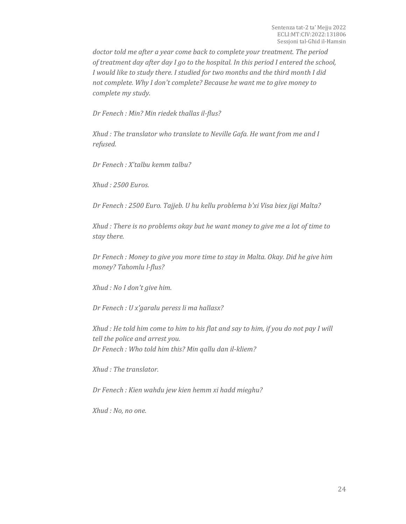*doctor told me after a year come back to complete your treatment. The period of treatment day after day I go to the hospital. In this period I entered the school, I would like to study there. I studied for two months and the third month I did not complete. Why I don't complete? Because he want me to give money to complete my study.*

*Dr Fenech : Min? Min riedek thallas il-flus?*

*Xhud : The translator who translate to Neville Gafa. He want from me and I refused.*

*Dr Fenech : X'talbu kemm talbu?*

*Xhud : 2500 Euros.*

*Dr Fenech : 2500 Euro. Tajjeb. U hu kellu problema b'xi Visa biex jigi Malta?*

*Xhud : There is no problems okay but he want money to give me a lot of time to stay there.*

*Dr Fenech : Money to give you more time to stay in Malta. Okay. Did he give him money? Tahomlu l-flus?*

*Xhud : No I don't give him.*

*Dr Fenech : U x'garalu peress li ma hallasx?*

*Xhud : He told him come to him to his flat and say to him, if you do not pay I will tell the police and arrest you. Dr Fenech : Who told him this? Min qallu dan il-kliem?*

*Xhud : The translator.*

*Dr Fenech : Kien wahdu jew kien hemm xi hadd mieghu?*

*Xhud : No, no one.*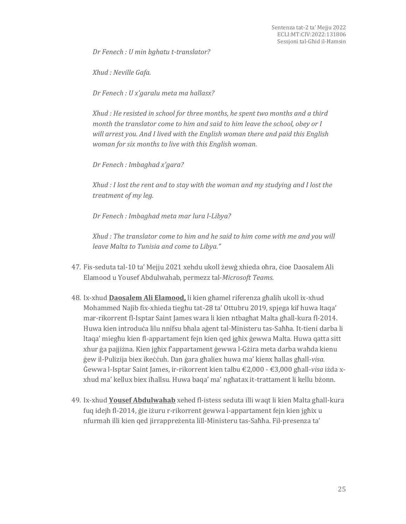*Dr Fenech : U min bghatu t-translator?*

*Xhud : Neville Gafa.*

*Dr Fenech : U x'garalu meta ma hallasx?*

*Xhud : He resisted in school for three months, he spent two months and a third month the translator come to him and said to him leave the school, obey or I will arrest you. And I lived with the English woman there and paid this English woman for six months to live with this English woman.*

*Dr Fenech : Imbaghad x'gara?*

*Xhud : I lost the rent and to stay with the woman and my studying and I lost the treatment of my leg.*

*Dr Fenech : Imbaghad meta mar lura l-Libya?*

*Xhud : The translator come to him and he said to him come with me and you will leave Malta to Tunisia and come to Libya."*

- 47. Fis-seduta tal-10 ta' Mejju 2021 xehdu ukoll żewġ xhieda oħra, ċioe Daosalem Ali Elamood u Yousef Abdulwahab, permezz tal-*Microsoft Teams.*
- 48. Ix-xhud **Daosalem Ali Elamood,** li kien għamel riferenza għalih ukoll ix-xhud Mohammed Najib fix-xhieda tiegħu tat-28 ta' Ottubru 2019, spjega kif huwa ltaqa' mar-rikorrent fl-Isptar Saint James wara li kien ntbagħat Malta għall-kura fl-2014. Huwa kien introduċa lilu nnifsu bħala aġent tal-Ministeru tas-Saħħa. It-tieni darba li ltaqa' miegħu kien fl-appartament fejn kien qed jgħix ġewwa Malta. Huwa qatta sitt xhur ġa pajjiżna. Kien jgħix f'appartament ġewwa l-Gżira meta darba waħda kienu ġew il-Pulizija biex ikeċċuh. Dan ġara għaliex huwa ma' kienx ħallas għall-*visa.*  Ġewwa l-Isptar Saint James, ir-rikorrent kien talbu €2,000 - €3,000 għall-*visa* iżda xxhud ma' kellux biex iħallsu. Huwa baqa' ma' ngħatax it-trattament li kellu bżonn.
- 49. Ix-xhud **Yousef Abdulwahab** xehed fl-istess seduta illi waqt li kien Malta għall-kura fuq idejh fl-2014, ġie iżuru r-rikorrent ġewwa l-appartament fejn kien jgħix u nfurmah illi kien qed jirrappreżenta lill-Ministeru tas-Saħħa. Fil-presenza ta'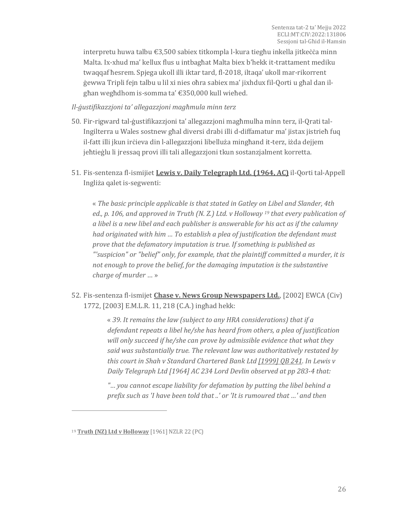interpretu huwa talbu €3,500 sabiex titkompla l-kura tiegħu inkella jitkeċċa minn Malta. Ix-xhud ma' kellux flus u intbagħat Malta biex b'hekk it-trattament mediku twaqqaf ħesrem. Spjega ukoll illi iktar tard, fl-2018, iltaqa' ukoll mar-rikorrent ġewwa Tripli fejn talbu u lil xi nies oħra sabiex ma' jixhdux fil-Qorti u għal dan ilgħan wegħdhom is-somma ta' €350,000 kull wieħed.

*Il-ġustifikazzjoni ta' allegazzjoni magħmula minn terz*

- 50. Fir-rigward tal-ġustifikazzjoni ta' allegazzjoni magħmulha minn terz, il-Qrati tal-Ingilterra u Wales sostnew għal diversi drabi illi d-diffamatur ma' jistax jistrieħ fuq il-fatt illi jkun irċieva din l-allegazzjoni libelluża mingħand it-terz, iżda dejjem jeħtieġlu li jressaq provi illi tali allegazzjoni tkun sostanzjalment korretta.
- 51. Fis-sentenza fl-ismijiet **Lewis v. Daily Telegraph Ltd. (1964, AC)** il-Qorti tal-Appell Ingliża qalet is-segwenti:

« *The basic principle applicable is that stated in Gatley on Libel and Slander, 4th ed., p. 106, and approved in Truth (N. Z.) Ltd. v Holloway <sup>19</sup> that every publication of a libel is a new libel and each publisher is answerable for his act as if the calumny had originated with him … To establish a plea of justification the defendant must prove that the defamatory imputation is true. If something is published as "'suspicion" or "belief" only, for example, that the plaintiff committed a murder, it is not enough to prove the belief, for the damaging imputation is the substantive charge of murder* … »

52. Fis-sentenza fl-ismijet **Chase v. News Group Newspapers Ltd.**, [2002] EWCA (Civ) 1772, [2003] E.M.L.R. 11, 218 (C.A.) ingħad hekk:

> « *39. It remains the law (subject to any HRA considerations) that if a defendant repeats a libel he/she has heard from others, a plea of justification will only succeed if he/she can prove by admissible evidence that what they said was substantially true. The relevant law was authoritatively restated by this court in Shah v Standard Chartered Bank Ltd [\[1999\] QB 241.](https://www.bailii.org/cgi-bin/redirect.cgi?path=/ew/cases/EWCA/Civ/1998/612.html) In Lewis v Daily Telegraph Ltd [1964] AC 234 Lord Devlin observed at pp 283-4 that:*

*"… you cannot escape liability for defamation by putting the libel behind a prefix such as 'I have been told that ..' or 'It is rumoured that …' and then* 

<sup>19</sup> **Truth (NZ) Ltd v Holloway** [1961] NZLR 22 (PC)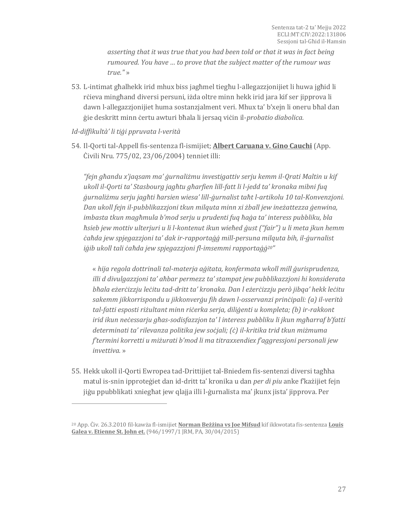*asserting that it was true that you had been told or that it was in fact being rumoured. You have … to prove that the subject matter of the rumour was true."* »

53. L-intimat għalhekk irid mhux biss jagħmel tiegħu l-allegazzjonijiet li huwa jgħid li rċieva mingħand diversi persuni, iżda oltre minn hekk irid jara kif ser jipprova li dawn l-allegazzjonijiet huma sostanzjalment veri. Mhux ta' b'xejn li oneru bħal dan ġie deskritt minn ċertu awturi bħala li jersaq viċin il-*probatio diabolica.*

#### *Id-diffikultà' li tiġi ppruvata l-verità*

 $\overline{a}$ 

54. Il-Qorti tal-Appell fis-sentenza fl-ismijiet; **Albert Caruana v. Gino Cauchi** (App. Ċivili Nru. 775/02, 23/06/2004) tenniet illi:

*"fejn għandu x'jaqsam ma' ġurnaliżmu investigattiv serju kemm il-Qrati Maltin u kif ukoll il-Qorti ta' Stasbourg jagħtu għarfien lill-fatt li l-jedd ta' kronaka mibni fuq ġurnaliżmu serju jagħti ħarsien wiesa' lill-ġurnalist taħt l-artikolu 10 tal-Konvenzjoni. Dan ukoll fejn il-pubblikazzjoni tkun milquta minn xi żball jew ineżattezza ġenwina, imbasta tkun magħmula b'mod serju u prudenti fuq ħaġa ta' interess pubbliku, bla ħsieb jew mottiv ulterjuri u li l-kontenut ikun wieħed ġust ("fair") u li meta jkun hemm ċaħda jew spjegazzjoni ta' dak ir-rapportaġġ mill-persuna milquta bih, il-ġurnalist iġib ukoll tali ċaħda jew spjegazzjoni fl-imsemmi rapportaġġ20"*

« *hija regola dottrinali tal-materja aġitata, konfermata wkoll mill ġurisprudenza, illi d divulgazzjoni ta' aħbar permezz ta' stampat jew pubblikazzjoni hi konsiderata bħala eżerċizzju leċitu tad-dritt ta' kronaka. Dan l eżerċizzju però jibqa' hekk leċitu sakemm jikkorrispondu u jikkonverġu fih dawn l-osservanzi prinċipali: (a) il-verità tal-fatti esposti riżultant minn riċerka serja, diliġenti u kompleta; (b) ir-rakkont irid ikun neċessarju għas-sodisfazzjon ta' l interess pubbliku li jkun mgħarraf b'fatti determinati ta' rilevanza politika jew soċjali; (ċ) il-kritika trid tkun miżmuma f'termini korretti u miżurati b'mod li ma titraxxendiex f'aggressjoni personali jew invettiva.* »

55. Hekk ukoll il-Qorti Ewropea tad-Drittijiet tal-Bniedem fis-sentenzi diversi tagħha matul is-snin ipproteġiet dan id-dritt ta' kronika u dan *per di piu* anke f'każijiet fejn jiġu ppubblikati xniegħat jew qlajja illi l-ġurnalista ma' jkunx jista' jipprova. Per

<sup>20</sup> App. Ċiv. 26.3.2010 fil-kawża fl-ismijiet **Norman Beżżina vs Joe Mifsud** kif ikkwotata fis-sentenza **Louis Galea v. Etienne St. John et.** (946/1997/1 JRM, PA, 30/04/2015)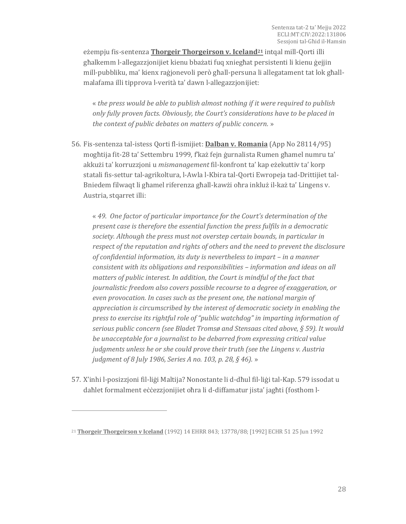eżempju fis-sentenza **Thorgeir Thorgeirson v. Iceland<sup>21</sup>** intqal mill-Qorti illi għalkemm l-allegazzjonijiet kienu bbażati fuq xniegħat persistenti li kienu ġejjin mill-pubbliku, ma' kienx raġjonevoli però għall-persuna li allegatament tat lok għallmalafama illi tipprova l-verità ta' dawn l-allegazzjonijiet:

« *the press would be able to publish almost nothing if it were required to publish only fully proven facts. Obviously, the Court's considerations have to be placed in the context of public debates on matters of public concern.* »

56. Fis-sentenza tal-istess Qorti fl-ismijiet: **Dalban v. Romania** (App No 28114/95) mogħtija fit-28 ta' Settembru 1999, f'każ fejn ġurnalista Rumen għamel numru ta' akkużi ta' korruzzjoni u *mismanagement* fil-konfront ta' kap eżekuttiv ta' korp statali fis-settur tal-agrikoltura, l-Awla l-Kbira tal-Qorti Ewropeja tad-Drittijiet tal-Bniedem filwaqt li għamel riferenza għall-kawżi oħra inkluż il-każ ta' Lingens v. Austria, stqarret illi:

« *49. One factor of particular importance for the Court's determination of the present case is therefore the essential function the press fulfils in a democratic society. Although the press must not overstep certain bounds, in particular in respect of the reputation and rights of others and the need to prevent the disclosure of confidential information, its duty is nevertheless to impart – in a manner consistent with its obligations and responsibilities – information and ideas on all matters of public interest. In addition, the Court is mindful of the fact that journalistic freedom also covers possible recourse to a degree of exaggeration, or even provocation. In cases such as the present one, the national margin of appreciation is circumscribed by the interest of democratic society in enabling the press to exercise its rightful role of "public watchdog" in imparting information of serious public concern (see Bladet Tromsø and Stensaas cited above, § 59). It would be unacceptable for a journalist to be debarred from expressing critical value judgments unless he or she could prove their truth (see the Lingens v. Austria judgment of 8 July 1986, Series A no. 103, p. 28, § 46).* »

57. X'inhi l-posizzjoni fil-liġi Maltija? Nonostante li d-dħul fil-liġi tal-Kap. 579 issodat u daħlet formalment eċċezzjonijiet oħra li d-diffamatur jista' jagħti (fosthom l-

<sup>21</sup> **Thorgeir Thorgeirson v Iceland** (1992) 14 EHRR 843; 13778/88; [1992] ECHR 51 25 Jun 1992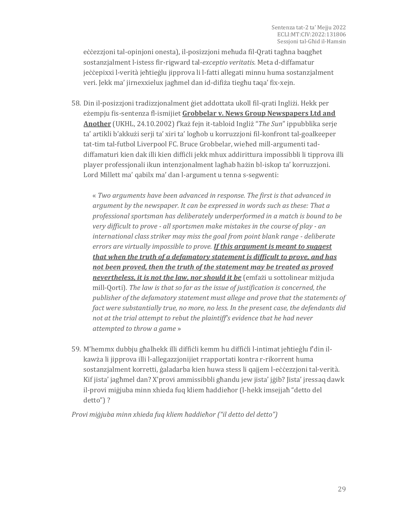eċċezzjoni tal-opinjoni onesta), il-posizzjoni meħuda fil-Qrati tagħna baqgħet sostanzjalment l-istess fir-rigward tal-*exceptio veritatis.* Meta d-diffamatur jeċċepixxi l-verità jeħtieġlu jipprova li l-fatti allegati minnu huma sostanzjalment veri. Jekk ma' jirnexxielux jagħmel dan id-difiża tiegħu taqa' fix-xejn.

58. Din il-posizzjoni tradizzjonalment ġiet addottata ukoll fil-qrati Ingliżi. Hekk per eżempju fis-sentenza fl-ismijiet **Grobbelar v. News Group Newspapers Ltd and Another** (UKHL, 24.10.2002) f'każ fejn it-tabloid Ingliż "*The Sun*" ippubblika serje ta' artikli b'akkużi serji ta' xiri ta' logħob u korruzzjoni fil-konfront tal-goalkeeper tat-tim tal-futbol Liverpool FC. Bruce Grobbelar, wieħed mill-argumenti taddiffamaturi kien dak illi kien diffiċli jekk mhux addirittura impossibbli li tipprova illi player professjonali ikun intenzjonalment lagħab ħażin bl-iskop ta' korruzzjoni. Lord Millett ma' qabilx ma' dan l-argument u tenna s-segwenti:

« *Two arguments have been advanced in response. The first is that advanced in argument by the newspaper. It can be expressed in words such as these: That a professional sportsman has deliberately underperformed in a match is bound to be very difficult to prove - all sportsmen make mistakes in the course of play - an international class striker may miss the goal from point blank range - deliberate errors are virtually impossible to prove. If this argument is meant to suggest that when the truth of a defamatory statement is difficult to prove, and has not been proved, then the truth of the statement may be treated as proved nevertheless, it is not the law, nor should it be* (emfażi u sottolinear miżjuda mill-Qorti)*. The law is that so far as the issue of justification is concerned, the publisher of the defamatory statement must allege and prove that the statements of fact were substantially true, no more, no less. In the present case, the defendants did not at the trial attempt to rebut the plaintiff's evidence that he had never attempted to throw a game* »

59. M'hemmx dubbju għalhekk illi diffiċli kemm hu diffiċli l-intimat jeħtieġlu f'din ilkawża li jipprova illi l-allegazzjonijiet rrapportati kontra r-rikorrent huma sostanzjalment korretti, ġaladarba kien huwa stess li qajjem l-eċċezzjoni tal-verità. Kif jista' jagħmel dan? X'provi ammissibbli għandu jew jista' jġib? Jista' jressaq dawk il-provi miġjuba minn xhieda fuq kliem ħaddieħor (l-hekk imsejjaħ "detto del detto") ?

*Provi miġjuba minn xhieda fuq kliem ħaddieħor ("il detto del detto")*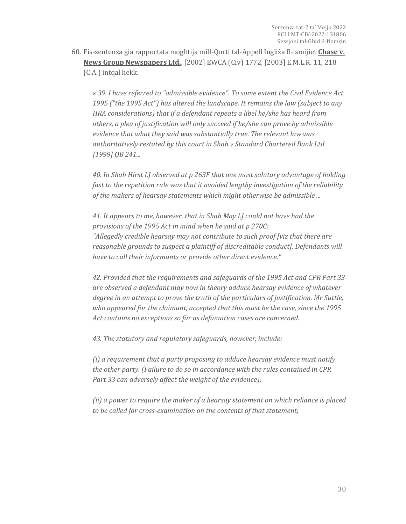60. Fis-sentenza ġia rapportata mogħtija mill-Qorti tal-Appell Ingliża fl-ismijiet **Chase v. News Group Newspapers Ltd.**, [2002] EWCA (Civ) 1772, [2003] E.M.L.R. 11, 218 (C.A.) intqal hekk:

« *39. I have referred to "admissible evidence". To some extent the Civil Evidence Act 1995 ("the 1995 Act") has altered the landscape. It remains the law (subject to any HRA considerations) that if a defendant repeats a libel he/she has heard from others, a plea of justification will only succeed if he/she can prove by admissible evidence that what they said was substantially true. The relevant law was authoritatively restated by this court in Shah v Standard Chartered Bank Ltd [1999] QB 241...*

*40. In Shah Hirst LJ observed at p 263F that one most salutary advantage of holding fast to the repetition rule was that it avoided lengthy investigation of the reliability of the makers of hearsay statements which might otherwise be admissible ...*

*41. It appears to me, however, that in Shah May LJ could not have had the provisions of the 1995 Act in mind when he said at p 270C: "Allegedly credible hearsay may not contribute to such proof [viz that there are reasonable grounds to suspect a plaintiff of discreditable conduct]. Defendants will have to call their informants or provide other direct evidence."*

*42. Provided that the requirements and safeguards of the 1995 Act and CPR Part 33 are observed a defendant may now in theory adduce hearsay evidence of whatever degree in an attempt to prove the truth of the particulars of justification. Mr Suttle, who appeared for the claimant, accepted that this must be the case, since the 1995 Act contains no exceptions so far as defamation cases are concerned.*

*43. The statutory and regulatory safeguards, however, include:*

*(i) a requirement that a party proposing to adduce hearsay evidence must notify the other party. (Failure to do so in accordance with the rules contained in CPR Part 33 can adversely affect the weight of the evidence);*

*(ii) a power to require the maker of a hearsay statement on which reliance is placed to be called for cross-examination on the contents of that statement;*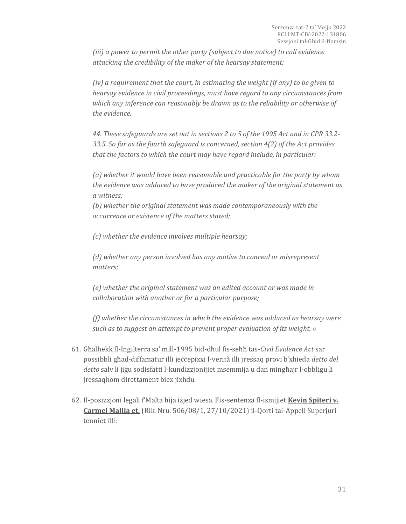*(iii) a power to permit the other party (subject to due notice) to call evidence attacking the credibility of the maker of the hearsay statement;*

*(iv) a requirement that the court, in estimating the weight (if any) to be given to hearsay evidence in civil proceedings, must have regard to any circumstances from which any inference can reasonably be drawn as to the reliability or otherwise of the evidence.*

*44. These safeguards are set out in sections 2 to 5 of the 1995 Act and in CPR 33.2- 33.5. So far as the fourth safeguard is concerned, section 4(2) of the Act provides that the factors to which the court may have regard include, in particular:*

*(a) whether it would have been reasonable and practicable for the party by whom the evidence was adduced to have produced the maker of the original statement as a witness;*

*(b) whether the original statement was made contemporaneously with the occurrence or existence of the matters stated;*

*(c) whether the evidence involves multiple hearsay;*

*(d) whether any person involved has any motive to conceal or misrepresent matters;*

*(e) whether the original statement was an edited account or was made in collaboration with another or for a particular purpose;*

*(f) whether the circumstances in which the evidence was adduced as hearsay were such as to suggest an attempt to prevent proper evaluation of its weight.* »

- 61. Għalhekk fl-Ingilterra sa' mill-1995 bid-dħul fis-seħħ tas-*Civil Evidence Act* sar possibbli għad-diffamatur illi jeċċepixxi l-verità illi jressaq provi b'xhieda *detto del detto* salv li jiġu sodisfatti l-kundizzjonijiet msemmija u dan mingħajr l-obbligu li jressaqhom direttament biex jixhdu.
- 62. Il-posizzjoni legali f'Malta hija iżjed wiesa. Fis-sentenza fl-ismijiet **Kevin Spiteri v. Carmel Mallia et.** (Rik. Nru. 506/08/1, 27/10/2021) il-Qorti tal-Appell Superjuri tenniet illi: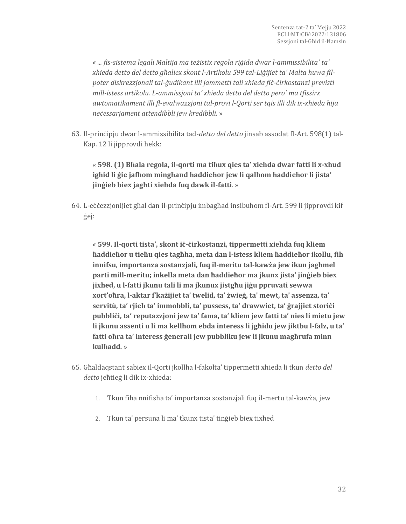*« ... fis-sistema legali Maltija ma teżistix regola riġida dwar l-ammissibilita` ta' xhieda detto del detto għaliex skont l-Artikolu 599 tal-Liġijiet ta' Malta huwa filpoter diskrezzjonali tal-ġudikant illi jammetti tali xhieda fiċ-ċirkostanzi previsti mill-istess artikolu. L-ammissjoni ta' xhieda detto del detto pero` ma tfissirx awtomatikament illi fl-evalwazzjoni tal-provi l-Qorti ser tqis illi dik ix-xhieda hija neċessarjament attendibbli jew kredibbli.* »

63. Il-prinċipju dwar l-ammissibilita tad-*detto del detto* jinsab assodat fl-Art. 598(1) tal-Kap. 12 li jipprovdi hekk:

*«* **598. (1) Bħala regola, il-qorti ma tiħux qies ta' xiehda dwar fatti li x-xhud igħid li ġie jafhom mingħand ħaddieħor jew li qalhom ħaddieħor li jista' jinġieb biex jagħti xiehda fuq dawk il-fatti**. »

64. L-eċċezzjonijiet għal dan il-prinċipju imbagħad insibuhom fl-Art. 599 li jipprovdi kif ġej:

*«* **599. Il-qorti tista', skont iċ-ċirkostanzi, tippermetti xiehda fuq kliem ħaddieħor u tieħu qies tagħha, meta dan l-istess kliem ħaddieħor ikollu, fih innifsu, importanza sostanzjali, fuq il-meritu tal-kawża jew ikun jagħmel parti mill-meritu; inkella meta dan ħaddieħor ma jkunx jista' jinġieb biex jixhed, u l-fatti jkunu tali li ma jkunux jistgħu jiġu ppruvati sewwa xort'oħra, l-aktar f'każijiet ta' twelid, ta' żwieġ, ta' mewt, ta' assenza, ta' servitù, ta' rjieħ ta' immobbli, ta' pussess, ta' drawwiet, ta' ġrajjiet storiċi pubbliċi, ta' reputazzjoni jew ta' fama, ta' kliem jew fatti ta' nies li mietu jew li jkunu assenti u li ma kellhom ebda interess li jgħidu jew jiktbu l-falz, u ta' fatti oħra ta' interess ġenerali jew pubbliku jew li jkunu magħrufa minn kulħadd.** »

- 65. Għaldaqstant sabiex il-Qorti jkollha l-fakolta' tippermetti xhieda li tkun *detto del detto* jeħtieġ li dik ix-xhieda:
	- 1. Tkun fiha nnifisha ta' importanza sostanzjali fuq il-mertu tal-kawża, jew
	- 2. Tkun ta' persuna li ma' tkunx tista' tinġieb biex tixhed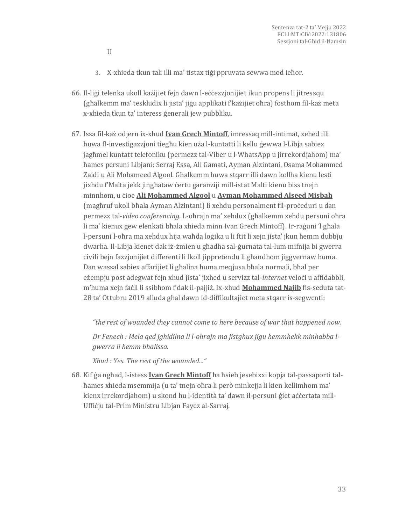- U
- 3. X-xhieda tkun tali illi ma' tistax tiġi ppruvata sewwa mod ieħor.
- 66. Il-liġi telenka ukoll każijiet fejn dawn l-eċċezzjonijiet ikun propens li jitressqu (għalkemm ma' teskludix li jista' jiġu applikati f'każijiet oħra) fosthom fil-każ meta x-xhieda tkun ta' interess ġenerali jew pubbliku.
- 67. Issa fil-każ odjern ix-xhud **Ivan Grech Mintoff**, imressaq mill-intimat, xehed illi huwa fl-investigazzjoni tiegħu kien uża l-kuntatti li kellu ġewwa l-Libja sabiex jagħmel kuntatt telefoniku (permezz tal-Viber u l-WhatsApp u jirrekordjahom) ma' ħames persuni Libjani: Serraj Essa, Ali Gamati, Ayman Alzintani, Osama Mohammed Zaidi u Ali Mohameed Algool. Għalkemm huwa stqarr illi dawn kollha kienu lesti jixhdu f'Malta jekk jingħataw ċertu garanziji mill-istat Malti kienu biss tnejn minnhom, u ċioe **Ali Mohammed Algool** u **Ayman Mohammed Alseed Misbah** (magħruf ukoll bħala Ayman Alzintani) li xehdu personalment fil-proċeduri u dan permezz tal-*video conferencing.* L-oħrajn ma' xehdux (għalkemm xehdu persuni oħra li ma' kienux ġew elenkati bħala xhieda minn Ivan Grech Mintoff). Ir-raġuni 'l għala l-persuni l-oħra ma xehdux hija waħda loġika u li ftit li xejn jista' jkun hemm dubbju dwarha. Il-Libja kienet dak iż-żmien u għadha sal-ġurnata tal-lum mifnija bi gwerra ċivili bejn fazzjonijiet differenti li lkoll jippretendu li għandhom jiggvernaw huma. Dan wassal sabiex affarijiet li għalina huma meqjusa bħala normali, bħal per eżempju post adegwat fejn xhud jista' jixhed u servizz tal-*internet* veloċi u affidabbli, m'huma xejn faċli li ssibhom f'dak il-pajjiż. Ix-xhud **Mohammed Najib** fis-seduta tat-28 ta' Ottubru 2019 alluda għal dawn id-diffikultajiet meta stqarr is-segwenti:

*"the rest of wounded they cannot come to here because of war that happened now.*

*Dr Fenech : Mela qed jghidilna li l-ohrajn ma jistghux jigu hemmhekk minhabba lgwerra li hemm bhalissa.*

*Xhud : Yes. The rest of the wounded..."*

68. Kif ġa ngħad, l-istess **Ivan Grech Mintoff** ħa ħsieb jesebixxi kopja tal-passaporti talħames xhieda msemmija (u ta' tnejn oħra li però minkejja li kien kellimhom ma' kienx irrekordjahom) u skond hu l-identità ta' dawn il-persuni ģiet aċċertata mill-Uffiċju tal-Prim Ministru Libjan Fayez al-Sarraj.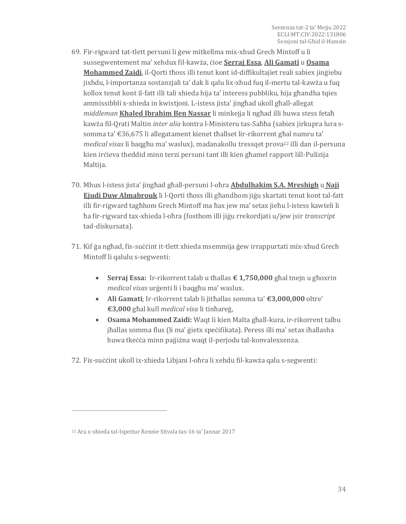- 69. Fir-rigward tat-tlett persuni li ġew mitkellma mix-xhud Grech Mintoff u li sussegwentement ma' xehdux fil-kawża, ċioe **Serraj Essa**, **Ali Gamati** u **Osama Mohammed Zaidi**, il-Qorti tħoss illi tenut kont id-diffikultajiet reali sabiex jinġiebu jixhdu, l-importanza sostanzjali ta' dak li qalu lix-xhud fuq il-mertu tal-kawża u fuq kollox tenut kont il-fatt illi tali xhieda hija ta' interess pubbliku, hija għandha tqies ammissibbli x-xhieda in kwistjoni. L-istess jista' jingħad ukoll għall-allegat *middleman* **Khaled Ibrahim Ben Nassar** li minkejja li ngħad illi huwa stess fetaħ kawża fil-Qrati Maltin *inter alia* kontra l-Ministeru tas-Saħħa (sabiex jirkupra lura ssomma ta' €36,675 li allegatament kienet tħallset lir-rikorrent għal numru ta' *medical visas* li baqgħu ma' waslux), madanakollu tressqet prova<sup>22</sup> illi dan il-persuna kien irċieva theddid minn terzi persuni tant illi kien għamel rapport lill-Pulizija Maltija.
- 70. Mhux l-istess jista' jingħad għall-persuni l-oħra **Abdulhakim S.A. Mreshigh** u **Naji Ejudi Duw Almabrouk** li l-Qorti tħoss illi għandhom jiġu skartati tenut kont tal-fatt illi fir-rigward tagħhom Grech Mintoff ma ħax jew ma' setax jieħu l-istess kawteli li ħa fir-rigward tax-xhieda l-oħra (fosthom illi jiġu rrekordjati u/jew jsir *transcript* tad-diskursata).
- 71. Kif ġa ngħad, fis-suċċint it-tlett xhieda msemmija ġew irrappurtati mix-xhud Grech Mintoff li qalulu s-segwenti:
	- **Serraj Essa:** Ir-rikorrent talab u tħallas **€ 1,750,000** għal tnejn u għoxrin *medical visas* urġenti li i baqgħu ma' waslux.
	- **Ali Gamati**; Ir-rikorrent talab li jitħallas somma ta' **€3,000,000** oltre' **€3,000** għal kull *medical visa* li tinħareġ,
	- **Osama Mohammed Zaidi:** Waqt li kien Malta għall-kura, ir-rikorrent talbu jħallas somma flus (li ma' ġietx speċifikata). Peress illi ma' setax iħallasha huwa tkeċċa minn pajjiżna waqt il-perjodu tal-konvalexxenza.
- 72. Fis-suċċint ukoll ix-xhieda Libjani l-oħra li xehdu fil-kawża qalu s-segwenti:

<sup>22</sup> Ara x-xhieda tal-Ispettur Rennie Stivala tas-16 ta' Jannar 2017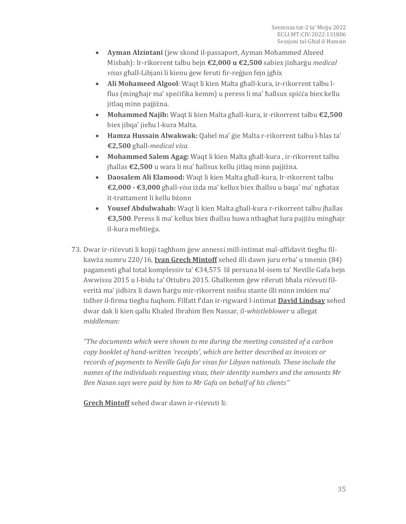- **Ayman Alzintani** (jew skond il-passaport, Ayman Mohammed Alseed Misbah): Ir-rikorrent talbu bejn **€2,000 u €2,500** sabiex jinħarġu *medical visas* għall-Libjani li kienu ġew feruti fir-reġjun fejn jgħix
- **Ali Mohameed Algool**: Waqt li kien Malta għall-kura, ir-rikorrent talbu lflus (mingħajr ma' speċifika kemm) u peress li ma' ħallsux spiċċa biex kellu jitlaq minn pajjiżna.
- **Mohammed Najib:** Waqt li kien Malta għall-kura, ir-rikorrent talbu **€2,500** biex jibqa' jieħu l-kura Malta.
- **Hamza Hussain Alwakwak:** Qabel ma' ġie Malta r-rikorrent talbu l-ħlas ta' **€2,500** għall-*medical visa.*
- **Mohammed Salem Agag:** Waqt li kien Malta għall-kura , ir-rikorrent talbu jħallas **€2,500** u wara li ma' ħallsux kellu jitlaq minn pajjiżna.
- **Daosalem Ali Elamood:** Waqt li kien Malta għall-kura, Ir-rikorrent talbu **€2,000 - €3,000** għall-*visa* iżda ma' kellux biex iħallsu u baqa' ma' ngħatax it-trattament li kellu bżonn
- **Yousef Abdulwahab:** Waqt li kien Malta għall-kura r-rikorrent talbu jħallas **€3,500**. Peress li ma' kellux biex iħallsu huwa ntbagħat lura pajjiżu mingħajr il-kura meħtieġa.
- 73. Dwar ir-riċevuti li kopji tagħhom ġew annessi mill-intimat mal-affidavit tiegħu filkawża numru 220/16, **Ivan Grech Mintoff** xehed illi dawn juru erba' u tmenin (84) pagamenti għal total komplessiv ta' €34,575 lil persuna bl-isem ta' Neville Gafa bejn Awwissu 2015 u l-bidu ta' Ottubru 2015. Għalkemm ġew riferuti bħala *riċevuti* filverità ma' jidhirx li dawn ħarġu mir-rikorrent nnifsu stante illi minn imkien ma' tidher il-firma tiegħu fuqhom. Filfatt f'dan ir-rigward l-intimat **David Lindsay** xehed dwar dak li kien qallu Khaled Ibrahim Ben Nassar, il-*whistleblower* u allegat *middleman:*

*"The documents which were shown to me during the meeting consisted of a carbon copy booklet of hand-written 'receipts', which are better described as invoices or records of payments to Neville Gafa for visas for Libyan nationals. These include the names of the individuals requesting visas, their identity numbers and the amounts Mr Ben Nasan says were paid by him to Mr Gafa on behalf of his clients"*

**Grech Mintoff** xehed dwar dawn ir-riċevuti li: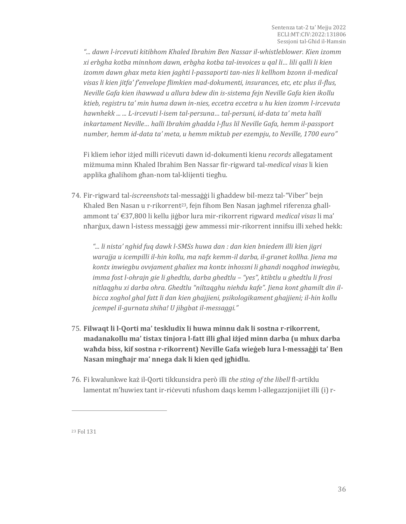*"... dawn l-ircevuti kitibhom Khaled Ibrahim Ben Nassar il-whistleblower. Kien izomm xi erbgha kotba minnhom dawn, erbgha kotba tal-invoices u qal li… lili qalli li kien izomm dawn ghax meta kien jaghti l-passaporti tan-nies li kellhom bzonn il-medical visas li kien jitfa' f'envelope flimkien mad-dokumenti, insurances, etc, etc plus il-flus, Neville Gafa kien ihawwad u allura bdew din is-sistema fejn Neville Gafa kien ikollu ktieb, registru ta' min huma dawn in-nies, eccetra eccetra u hu kien izomm l-ircevuta hawnhekk ... ... L-ircevuti l-isem tal-persuna… tal-persuni, id-data ta' meta halli inkartament Neville… halli Ibrahim ghadda l-flus lil Neville Gafa, hemm il-passport number, hemm id-data ta' meta, u hemm miktub per ezempju, to Neville, 1700 euro"*

Fi kliem ieħor iżjed milli riċevuti dawn id-dokumenti kienu *records* allegatament miżmuma minn Khaled Ibrahim Ben Nassar fir-rigward tal-*medical visas* li kien applika għalihom għan-nom tal-klijenti tiegħu.

74. Fir-rigward tal-*iscreenshots* tal-messaġġi li għaddew bil-mezz tal-"Viber" bejn Khaled Ben Nasan u r-rikorrent<sup>23</sup>, fejn fihom Ben Nasan jagħmel riferenza għallammont ta' €37,800 li kellu jiġbor lura mir-rikorrent rigward *medical visas* li ma' nħarġux, dawn l-istess messaġġi ġew ammessi mir-rikorrent innifsu illi xehed hekk:

*"... li nista' nghid fuq dawk l-SMSs huwa dan : dan kien bniedem illi kien jigri warajja u icempilli il-hin kollu, ma nafx kemm-il darba, il-granet kollha. Jiena ma kontx inwiegbu ovvjament ghaliex ma kontx inhossni li ghandi noqghod inwiegbu, imma fost l-ohrajn gie li ghedtlu, darba ghedtlu – "yes", ktibtlu u ghedtlu li frosi nitlaqghu xi darba ohra. Ghedtlu "niltaqghu niehdu kafe". Jiena kont ghamilt din ilbicca xoghol ghal fatt li dan kien ghajjieni, psikologikament ghajjieni; il-hin kollu jcempel il-gurnata shiha! U jibgbat il-messaggi."*

- 75. **Filwaqt li l-Qorti ma' teskludix li huwa minnu dak li sostna r-rikorrent, madanakollu ma' tistax tinjora l-fatt illi għal iżjed minn darba (u mhux darba waħda biss, kif sostna r-rikorrent) Neville Gafa wieġeb lura l-messaġġi ta' Ben Nasan mingħajr ma' nnega dak li kien qed jgħidlu.**
- 76. Fi kwalunkwe każ il-Qorti tikkunsidra però illi *the sting of the libell* fl-artiklu lamentat m'huwiex tant ir-riċevuti nfushom daqs kemm l-allegazzjonijiet illi (i) r-

<sup>23</sup> Fol 131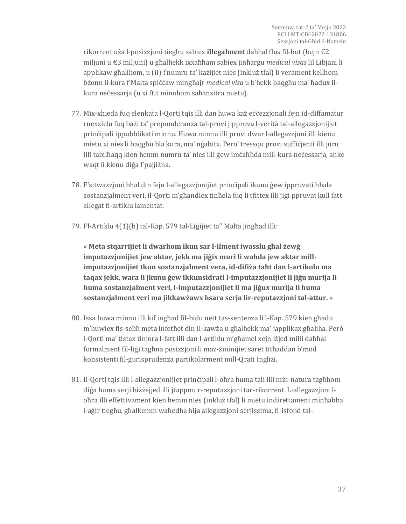rikorrent uża l-posizzjoni tiegħu sabiex **illegalment** daħħal flus fil-but (bejn €2 miljuni u €3 miljuni) u għalhekk ixxaħħam sabiex jinħarġu *medical visas* lil Libjani li applikaw għalihom, u (ii) f'numru ta' każijiet nies (inkluż tfal) li verament kellhom bżonn il-kura f'Malta spiċċaw mingħajr *medical visa* u b'hekk baqgħu ma' ħadux ilkura neċessarja (u xi ftit minnhom saħansitra mietu).

- 77. Mix-xhieda fuq elenkata l-Qorti tqis illi dan huwa każ eċċezzjonali fejn id-diffamatur rnexxielu fuq bażi ta' preponderanza tal-provi jipprova l-verità tal-allegazzjonijiet prinċipali ippubblikati minnu. Huwa minnu illi provi dwar l-allegazzjoni illi kienu mietu xi nies li baqgħu bla kura, ma' nġabitx. Pero' tressqu provi suffiċjenti illi juru illi tabilħaqq kien hemm numru ta' nies illi ġew imċaħħda mill-kura neċessarja, anke waqt li kienu diġa f'pajjiżna.
- 78. F'sitwazzjoni bħal din fejn l-allegazzjonijiet prinċipali ikunu ġew ippruvati bħala sostanzjalment veri, il-Qorti m'għandiex tinħela fuq li tfittex illi jiġi ppruvat kull fatt allegat fl-artiklu lamentat.
- 79. Fl-Artiklu 4(1)(b) tal-Kap. 579 tal-Liġijiet ta'' Malta jingħad illi:

*«* **Meta stqarrijiet li dwarhom ikun sar l-ilment iwasslu għal żewġ imputazzjonijiet jew aktar, jekk ma jiġix muri li waħda jew aktar millimputazzjonijiet tkun sostanzjalment vera, id-difiża taħt dan l-artikolu ma taqax jekk, wara li jkunu ġew ikkunsidrati l-imputazzjonijiet li jiġu murija li huma sostanzjalment veri, l-imputazzjonijiet li ma jiġux murija li huma sostanzjalment veri ma jikkawżawx ħsara serja lir-reputazzjoni tal-attur.** »

- 80. Issa huwa minnu illi kif ingħad fil-bidu nett tas-sentenza li l-Kap. 579 kien għadu m'huwiex fis-seħħ meta infetħet din il-kawża u għalhekk ma' japplikax għaliha. Però l-Qorti ma' tistax tinjora l-fatt illi dan l-artiklu m'għamel xejn iżjed milli daħħal formalment fil-liġi tagħna posizzjoni li maż-żminijiet saret titħaddan b'mod konsistenti fil-ġurisprudenza partikolarment mill-Qrati Ingliżi.
- 81. Il-Qorti tqis illi l-allegazzjonijiet prinċipali l-oħra huma tali illi min-natura tagħhom diġa huma serji biżżejjed illi jtappnu r-reputazzjoni tar-rikorrent. L-allegazzjoni loħra illi effettivament kien hemm nies (inkluż tfal) li mietu indirettament minħabba l-aġir tiegħu, għalkemm waħedha hija allegazzjoni serjissima, fl-isfond tal-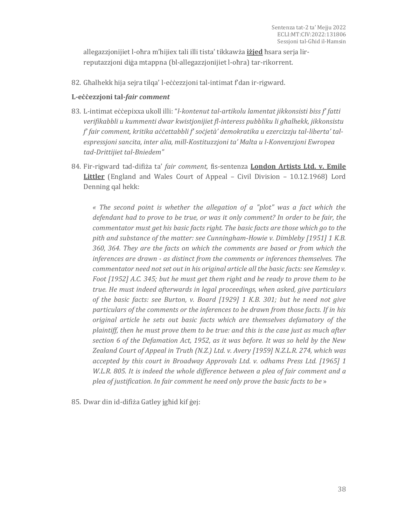allegazzjonijiet l-oħra m'hijiex tali illi tista' tikkawża **iżjed** ħsara serja lirreputazzjoni diġa mtappna (bl-allegazzjonijiet l-oħra) tar-rikorrent.

82. Għalhekk hija sejra tilqa' l-eċċezzjoni tal-intimat f'dan ir-rigward.

#### **L-eċċezzjoni tal-***fair comment*

- 83. L-intimat eċċepixxa ukoll illi: "*l-kontenut tal-artikolu lamentat jikkonsisti biss f' fatti verifikabbli u kummenti dwar kwistjonijiet fl-interess pubbliku li għalhekk, jikkonsistu f' fair comment, kritika aċċettabbli f' soċjetà' demokratika u ezercizzju tal-liberta' talespressjoni sancita, inter alia, mill-Kostituzzjoni ta' Malta u l-Konvenzjoni Ewropea tad-Drittijiet tal-Bniedem"*
- 84. Fir-rigward tad-difiża ta' *fair comment,* fis-sentenza **London Artists Ltd. v. Emile Littler** (England and Wales Court of Appeal – Civil Division – 10.12.1968) Lord Denning qal hekk:

*« The second point is whether the allegation of a "plot" was a fact which the defendant had to prove to be true, or was it only comment? In order to be fair, the commentator must get his basic facts right. The basic facts are those which go to the pith and substance of the matter: see Cunningham-Howie v. Dimbleby [1951] 1 K.B. 360, 364. They are the facts on which the comments are based or from which the inferences are drawn - as distinct from the comments or inferences themselves. The commentator need not set out in his original article all the basic facts: see Kemsley v. Foot [1952] A.C. 345; but he must get them right and be ready to prove them to be true. He must indeed afterwards in legal proceedings, when asked, give particulars of the basic facts: see Burton, v. Board [1929] 1 K.B. 301; but he need not give particulars of the comments or the inferences to be drawn from those facts. If in his original article he sets out basic facts which are themselves defamatory of the plaintiff, then he must prove them to be true: and this is the case just as much after section 6 of the Defamation Act, 1952, as it was before. It was so held by the New Zealand Court of Appeal in Truth (N.Z.) Ltd. v. Avery [1959] N.Z.L.R. 274, which was accepted by this court in Broadway Approvals Ltd. v. odhams Press Ltd. [1965] 1 W.L.R. 805. It is indeed the whole difference between a plea of fair comment and a plea of justification. In fair comment he need only prove the basic facts to be* »

85. Dwar din id-difiża Gatley jgħid kif ġej: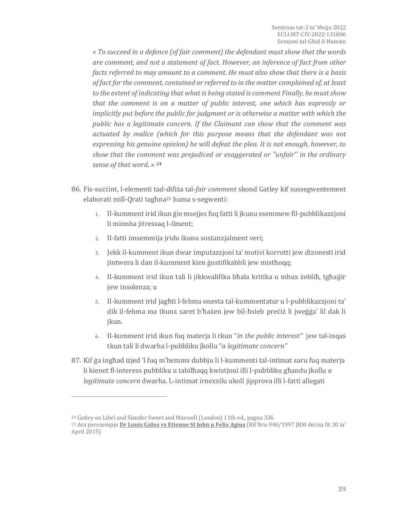*« To succeed in a defence (of fair comment) the defendant must show that the words are comment, and not a statement of fact. However, an inference of fact from other facts referred to may amount to a comment. He must also show that there is a basis of fact for the comment, contained or referred to in the matter complained of, at least to the extent of indicating that what is being stated is comment Finally, he must show that the comment is on a matter of public interest, one which has expressly or implicitly put before the public for judgment or is otherwise a matter with which the public has a legitimate concern. If the Claimant can show that the comment was actuated by malice (which for this purpose means that the defendant was not expressing his genuine opinion) he will defeat the plea. It is not enough, however, to show that the comment was prejudiced or exaggerated or "unfair'' in the ordinary sense of that word.* » *<sup>24</sup>*

- 86. Fis-suċċint, l-elementi tad-difiża tal-*fair comment* skond Gatley kif sussegwentement elaborati mill-Qrati tagħna<sup>25</sup> huma s-segwenti:
	- 1. Il-kumment irid ikun ġie msejjes fuq fatti li jkunu ssemmew fil-pubblikazzjoni li minnha jitressaq l-ilment;
	- 2. Il-fatti imsemmija jridu ikunu sostanzjalment veri;
	- 3. Jekk il-kumment ikun dwar imputazzjoni ta' motivi korrotti jew dizonesti irid jintwera li dan il-kumment kien ġustifikabbli jew mistħoqq;
	- 4. Il-kumment irid ikun tali li jikkwalifika bħala kritika u mhux żebliħ, tgħajjir jew insolenza; u
	- 5. Il-kumment irid jagħti l-fehma onesta tal-kummentatur u l-pubblikazzjoni ta' dik il-fehma ma tkunx saret b'ħażen jew bil-ħsieb preċiż li jweġġa' lil dak li jkun.
	- 6. Il-kumment irid ikun fuq materja li tkun "*in the public interest"* jew tal-inqas tkun tali li dwarha l-pubbliku jkollu "*a legitimate concern"*
- 87. Kif ġa ingħad iżjed 'l fuq m'hemmx dubbju li l-kummenti tal-intimat saru fuq materja li kienet fl-interess pubbliku u tabilħaqq kwistjoni illi l-pubbliku għandu jkollu *a legitimate concern* dwarha. L-intimat irnexxilu ukoll jipprova illi l-fatti allegati

<sup>24</sup> Gatley on Libel and Slander Sweet and Maxwell (London) 11th ed., pagna 336

<sup>25</sup> Ara perezempju **Dr Louis Galea vs Etienne St John u Felix Agius** (Rif Nru 946/1997 JRM deciza fit 30 ta' April 2015)